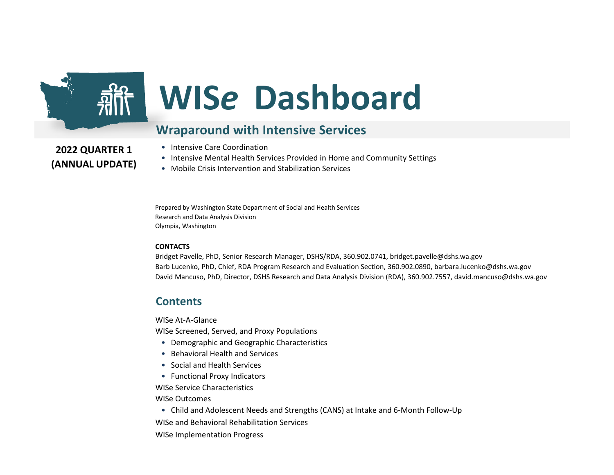

# **WIS***e* **Dashboard**

#### **Wraparound with Intensive Services**

**2022 QUARTER 1 (ANNUAL UPDATE)**

- Intensive Care Coordination
- Intensive Mental Health Services Provided in Home and Community Settings
- Mobile Crisis Intervention and Stabilization Services

Prepared by Washington State Department of Social and Health Services Research and Data Analysis Division Olympia, Washington

#### **CONTACTS**

Bridget Pavelle, PhD, Senior Research Manager, DSHS/RDA, 360.902.0741, bridget.pavelle@dshs.wa.gov Barb Lucenko, PhD, Chief, RDA Program Research and Evaluation Section, 360.902.0890, barbara.lucenko@dshs.wa.gov David Mancuso, PhD, Director, DSHS Research and Data Analysis Division (RDA), 360.902.7557, david.mancuso@dshs.wa.gov

#### **Contents**

WISe At-A-Glance

WISe Screened, Served, and Proxy Populations

- Demographic and Geographic Characteristics
- Behavioral Health and Services
- Social and Health Services
- Functional Proxy Indicators

WISe Service Characteristics

WISe Outcomes

• Child and Adolescent Needs and Strengths (CANS) at Intake and 6-Month Follow-Up

WISe and Behavioral Rehabilitation Services

WISe Implementation Progress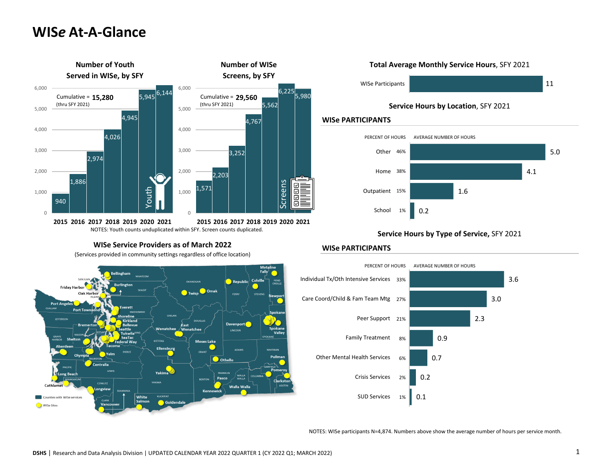### **WIS***e* **At-A-Glance**



#### **WISe Service Providers as of March 2022**

(Services provided in community settings regardless of office location)



#### **Total Average Monthly Service Hours**, SFY 2021



**Service Hours by Location**, SFY 2021

#### **WISe PARTICIPANTS**



#### **WISe PARTICIPANTS**



NOTES: WISe participants N=4,874. Numbers above show the average number of hours per service month.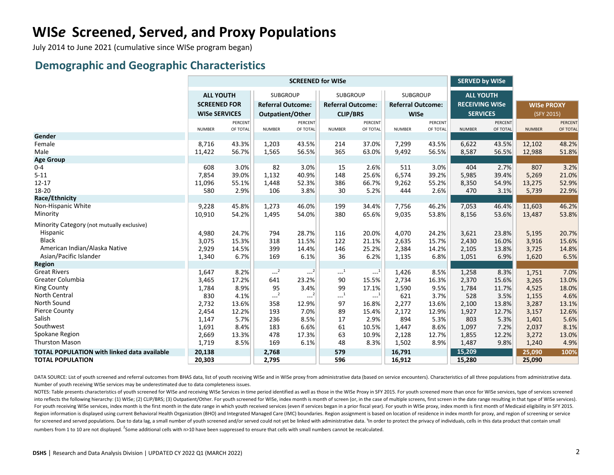July 2014 to June 2021 (cumulative since WISe program began)

#### **Demographic and Geographic Characteristics**

|                                                    |                      |                |                          | <b>SCREENED for WISe</b> |                                              | <b>SERVED by WISe</b> |                          |          |                       |          |                   |          |
|----------------------------------------------------|----------------------|----------------|--------------------------|--------------------------|----------------------------------------------|-----------------------|--------------------------|----------|-----------------------|----------|-------------------|----------|
|                                                    | <b>ALL YOUTH</b>     |                | <b>SUBGROUP</b>          |                          | <b>SUBGROUP</b>                              |                       | <b>SUBGROUP</b>          |          | <b>ALL YOUTH</b>      |          |                   |          |
|                                                    | <b>SCREENED FOR</b>  |                | <b>Referral Outcome:</b> |                          | <b>Referral Outcome:</b>                     |                       | <b>Referral Outcome:</b> |          | <b>RECEIVING WISe</b> |          | <b>WISe PROXY</b> |          |
|                                                    | <b>WISe SERVICES</b> |                | <b>Outpatient/Other</b>  |                          | <b>CLIP/BRS</b>                              |                       | <b>WISe</b>              |          | <b>SERVICES</b>       |          | (SFY 2015)        |          |
|                                                    |                      | <b>PERCENT</b> |                          | <b>PERCENT</b>           |                                              | <b>PERCENT</b>        |                          | PERCENT  |                       | PERCENT  |                   | PERCENT  |
|                                                    | <b>NUMBER</b>        | OF TOTAL       | <b>NUMBER</b>            | OF TOTAL                 | <b>NUMBER</b>                                | OF TOTAL              | <b>NUMBER</b>            | OF TOTAL | <b>NUMBER</b>         | OF TOTAL | <b>NUMBER</b>     | OF TOTAL |
| Gender                                             |                      |                |                          |                          |                                              |                       |                          |          |                       |          |                   |          |
| Female                                             | 8,716                | 43.3%          | 1,203                    | 43.5%                    | 214                                          | 37.0%                 | 7,299                    | 43.5%    | 6,622                 | 43.5%    | 12,102            | 48.2%    |
| Male                                               | 11,422               | 56.7%          | 1,565                    | 56.5%                    | 365                                          | 63.0%                 | 9,492                    | 56.5%    | 8,587                 | 56.5%    | 12,988            | 51.8%    |
| <b>Age Group</b>                                   |                      |                |                          |                          |                                              |                       |                          |          |                       |          |                   |          |
| $0 - 4$                                            | 608                  | 3.0%           | 82                       | 3.0%                     | 15                                           | 2.6%                  | 511                      | 3.0%     | 404                   | 2.7%     | 807               | 3.2%     |
| $5 - 11$                                           | 7,854                | 39.0%          | 1,132                    | 40.9%                    | 148                                          | 25.6%                 | 6,574                    | 39.2%    | 5,985                 | 39.4%    | 5,269             | 21.0%    |
| $12 - 17$                                          | 11,096               | 55.1%          | 1,448                    | 52.3%                    | 386                                          | 66.7%                 | 9,262                    | 55.2%    | 8,350                 | 54.9%    | 13,275            | 52.9%    |
| 18-20                                              | 580                  | 2.9%           | 106                      | 3.8%                     | 30                                           | 5.2%                  | 444                      | 2.6%     | 470                   | 3.1%     | 5,739             | 22.9%    |
| Race/Ethnicity                                     |                      |                |                          |                          |                                              |                       |                          |          |                       |          |                   |          |
| Non-Hispanic White                                 | 9,228                | 45.8%          | 1,273                    | 46.0%                    | 199                                          | 34.4%                 | 7,756                    | 46.2%    | 7,053                 | 46.4%    | 11,603            | 46.2%    |
| Minority                                           | 10,910               | 54.2%          | 1,495                    | 54.0%                    | 380                                          | 65.6%                 | 9,035                    | 53.8%    | 8,156                 | 53.6%    | 13,487            | 53.8%    |
| Minority Category (not mutually exclusive)         |                      |                |                          |                          |                                              |                       |                          |          |                       |          |                   |          |
| Hispanic                                           | 4,980                | 24.7%          | 794                      | 28.7%                    | 116                                          | 20.0%                 | 4,070                    | 24.2%    | 3,621                 | 23.8%    | 5,195             | 20.7%    |
| <b>Black</b>                                       | 3,075                | 15.3%          | 318                      | 11.5%                    | 122                                          | 21.1%                 | 2,635                    | 15.7%    | 2,430                 | 16.0%    | 3,916             | 15.6%    |
| American Indian/Alaska Native                      | 2,929                | 14.5%          | 399                      | 14.4%                    | 146                                          | 25.2%                 | 2,384                    | 14.2%    | 2,105                 | 13.8%    | 3,725             | 14.8%    |
| Asian/Pacific Islander                             | 1,340                | 6.7%           | 169                      | 6.1%                     | 36                                           | 6.2%                  | 1,135                    | 6.8%     | 1,051                 | 6.9%     | 1,620             | 6.5%     |
| <b>Region</b>                                      |                      |                |                          |                          |                                              |                       |                          |          |                       |          |                   |          |
| <b>Great Rivers</b>                                | 1,647                | 8.2%           | $\sim$ <sup>2</sup>      | $-2$                     | $\begin{smallmatrix} &1\\&\end{smallmatrix}$ | $-1$                  | 1,426                    | 8.5%     | 1,258                 | 8.3%     | 1,751             | 7.0%     |
| Greater Columbia                                   | 3,465                | 17.2%          | 641                      | 23.2%                    | 90                                           | 15.5%                 | 2,734                    | 16.3%    | 2,370                 | 15.6%    | 3,265             | 13.0%    |
| <b>King County</b>                                 | 1,784                | 8.9%           | 95                       | 3.4%                     | 99                                           | 17.1%                 | 1,590                    | 9.5%     | 1,784                 | 11.7%    | 4,525             | 18.0%    |
| North Central                                      | 830                  | 4.1%           | $---2$                   | $---2$                   | $\textcolor{red}{\mathbf{---}^1}$            | $-.^{1}$              | 621                      | 3.7%     | 528                   | 3.5%     | 1,155             | 4.6%     |
| North Sound                                        | 2,732                | 13.6%          | 358                      | 12.9%                    | 97                                           | 16.8%                 | 2,277                    | 13.6%    | 2,100                 | 13.8%    | 3,287             | 13.1%    |
| <b>Pierce County</b>                               | 2,454                | 12.2%          | 193                      | 7.0%                     | 89                                           | 15.4%                 | 2,172                    | 12.9%    | 1,927                 | 12.7%    | 3,157             | 12.6%    |
| Salish                                             | 1,147                | 5.7%           | 236                      | 8.5%                     | 17                                           | 2.9%                  | 894                      | 5.3%     | 803                   | 5.3%     | 1,401             | 5.6%     |
| Southwest                                          | 1,691                | 8.4%           | 183                      | 6.6%                     | 61                                           | 10.5%                 | 1,447                    | 8.6%     | 1,097                 | 7.2%     | 2,037             | 8.1%     |
| Spokane Region                                     | 2,669                | 13.3%          | 478                      | 17.3%                    | 63                                           | 10.9%                 | 2,128                    | 12.7%    | 1,855                 | 12.2%    | 3,272             | 13.0%    |
| <b>Thurston Mason</b>                              | 1,719                | 8.5%           | 169                      | 6.1%                     | 48                                           | 8.3%                  | 1,502                    | 8.9%     | 1,487                 | 9.8%     | 1,240             | 4.9%     |
| <b>TOTAL POPULATION with linked data available</b> | 20,138               |                | 2,768                    |                          | 579                                          |                       | 16,791                   |          | 15,209                |          | 25,090            | 100%     |
| <b>TOTAL POPULATION</b>                            | 20,303               |                | 2,795                    |                          | 596                                          |                       | 16,912                   |          | 15,280                |          | 25,090            |          |

DATA SOURCE: List of youth screened and referral outcomes from BHAS data, list of youth receiving WISe and in WISe proxy from administrative data (based on service encounters). Characteristics of all three populations from Number of youth receiving WISe services may be underestimated due to data completeness issues.

NOTES: Table presents characteristics of youth screened for WISe and receiving WISe Services in time period identified as well as those in the WISe Proxy in SFY 2015. For youth screened more than once for WISe services, ty into reflects the following hierarchy: (1) WISe; (2) CLIP/BRS; (3) Outpatient/Other. For youth screened for WISe, index month is month of screen (or, in the case of multiple screens, first screen in the date range resultin For youth receiving WISe services, index month is the first month in the date range in which youth received services (even if services began in a prior fiscal year). For youth in WISe proxy, index month is first month of M Region information is displayed using current Behavioral Health Organization (BHO) and Integrated Managed Care (IMC) boundaries. Region assignment is based on location of residence in index month for proxy, and region of s for screened and served populations. Due to data lag, a small number of youth screened and/or served could not yet be linked with administrative data. 'In order to protect the privacy of individuals, cells in this data pro numbers from 1 to 10 are not displayed. <sup>2</sup>Some additional cells with n>10 have been suppressed to ensure that cells with small numbers cannot be recalculated.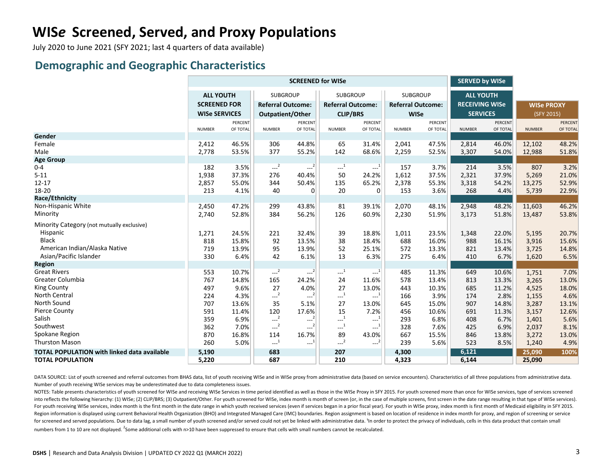July 2020 to June 2021 (SFY 2021; last 4 quarters of data available)

#### **Demographic and Geographic Characteristics**

|                                                    |                      |          |                          | <b>SCREENED for WISe</b> |                                                       | <b>SERVED by WISe</b> |                          |          |                       |          |                   |          |
|----------------------------------------------------|----------------------|----------|--------------------------|--------------------------|-------------------------------------------------------|-----------------------|--------------------------|----------|-----------------------|----------|-------------------|----------|
|                                                    | <b>ALL YOUTH</b>     |          | <b>SUBGROUP</b>          |                          | <b>SUBGROUP</b>                                       |                       | <b>SUBGROUP</b>          |          | <b>ALL YOUTH</b>      |          |                   |          |
|                                                    | <b>SCREENED FOR</b>  |          | <b>Referral Outcome:</b> |                          | <b>Referral Outcome:</b>                              |                       | <b>Referral Outcome:</b> |          | <b>RECEIVING WISe</b> |          | <b>WISe PROXY</b> |          |
|                                                    | <b>WISe SERVICES</b> |          | Outpatient/Other         |                          | <b>CLIP/BRS</b>                                       |                       | <b>WISe</b>              |          | <b>SERVICES</b>       |          | (SFY 2015)        |          |
|                                                    |                      | PERCENT  |                          | PERCENT                  |                                                       | PERCENT               |                          | PERCENT  |                       | PERCENT  |                   | PERCENT  |
|                                                    | <b>NUMBER</b>        | OF TOTAL | <b>NUMBER</b>            | OF TOTAL                 | <b>NUMBER</b>                                         | OF TOTAL              | <b>NUMBER</b>            | OF TOTAL | <b>NUMBER</b>         | OF TOTAL | <b>NUMBER</b>     | OF TOTAL |
| Gender                                             |                      |          |                          |                          |                                                       |                       |                          |          |                       |          |                   |          |
| Female                                             | 2,412                | 46.5%    | 306                      | 44.8%                    | 65                                                    | 31.4%                 | 2,041                    | 47.5%    | 2,814                 | 46.0%    | 12,102            | 48.2%    |
| Male                                               | 2,778                | 53.5%    | 377                      | 55.2%                    | 142                                                   | 68.6%                 | 2,259                    | 52.5%    | 3,307                 | 54.0%    | 12,988            | 51.8%    |
| <b>Age Group</b>                                   |                      |          |                          |                          |                                                       |                       |                          |          |                       |          |                   |          |
| $0 - 4$                                            | 182                  | 3.5%     | $--2$                    | $---2$                   | $\cdots$ <sup>1</sup>                                 | $-1$                  | 157                      | 3.7%     | 214                   | 3.5%     | 807               | 3.2%     |
| $5 - 11$                                           | 1,938                | 37.3%    | 276                      | 40.4%                    | 50                                                    | 24.2%                 | 1,612                    | 37.5%    | 2,321                 | 37.9%    | 5,269             | 21.0%    |
| $12 - 17$                                          | 2,857                | 55.0%    | 344                      | 50.4%                    | 135                                                   | 65.2%                 | 2,378                    | 55.3%    | 3,318                 | 54.2%    | 13,275            | 52.9%    |
| 18-20                                              | 213                  | 4.1%     | 40                       | $\overline{0}$           | 20                                                    | $\overline{0}$        | 153                      | 3.6%     | 268                   | 4.4%     | 5,739             | 22.9%    |
| Race/Ethnicity                                     |                      |          |                          |                          |                                                       |                       |                          |          |                       |          |                   |          |
| Non-Hispanic White                                 | 2,450                | 47.2%    | 299                      | 43.8%                    | 81                                                    | 39.1%                 | 2,070                    | 48.1%    | 2,948                 | 48.2%    | 11,603            | 46.2%    |
| Minority                                           | 2,740                | 52.8%    | 384                      | 56.2%                    | 126                                                   | 60.9%                 | 2,230                    | 51.9%    | 3,173                 | 51.8%    | 13,487            | 53.8%    |
| Minority Category (not mutually exclusive)         |                      |          |                          |                          |                                                       |                       |                          |          |                       |          |                   |          |
| Hispanic                                           | 1,271                | 24.5%    | 221                      | 32.4%                    | 39                                                    | 18.8%                 | 1,011                    | 23.5%    | 1,348                 | 22.0%    | 5,195             | 20.7%    |
| <b>Black</b>                                       | 818                  | 15.8%    | 92                       | 13.5%                    | 38                                                    | 18.4%                 | 688                      | 16.0%    | 988                   | 16.1%    | 3,916             | 15.6%    |
| American Indian/Alaska Native                      | 719                  | 13.9%    | 95                       | 13.9%                    | 52                                                    | 25.1%                 | 572                      | 13.3%    | 821                   | 13.4%    | 3,725             | 14.8%    |
| Asian/Pacific Islander                             | 330                  | 6.4%     | 42                       | 6.1%                     | 13                                                    | 6.3%                  | 275                      | 6.4%     | 410                   | 6.7%     | 1,620             | 6.5%     |
| <b>Region</b>                                      |                      |          |                          |                          |                                                       |                       |                          |          |                       |          |                   |          |
| <b>Great Rivers</b>                                | 553                  | 10.7%    | $-2$                     | $---2$                   | $\cdots$ <sup>1</sup>                                 | $-1$                  | 485                      | 11.3%    | 649                   | 10.6%    | 1,751             | 7.0%     |
| Greater Columbia                                   | 767                  | 14.8%    | 165                      | 24.2%                    | 24                                                    | 11.6%                 | 578                      | 13.4%    | 813                   | 13.3%    | 3,265             | 13.0%    |
| <b>King County</b>                                 | 497                  | 9.6%     | 27                       | 4.0%                     | 27                                                    | 13.0%                 | 443                      | 10.3%    | 685                   | 11.2%    | 4,525             | 18.0%    |
| North Central                                      | 224                  | 4.3%     | $-2$                     | $---2$                   | $\begin{smallmatrix} &1\\&\ddots\end{smallmatrix}$    | $-1$                  | 166                      | 3.9%     | 174                   | 2.8%     | 1,155             | 4.6%     |
| North Sound                                        | 707                  | 13.6%    | 35                       | 5.1%                     | 27                                                    | 13.0%                 | 645                      | 15.0%    | 907                   | 14.8%    | 3,287             | 13.1%    |
| <b>Pierce County</b>                               | 591                  | 11.4%    | 120                      | 17.6%                    | 15                                                    | 7.2%                  | 456                      | 10.6%    | 691                   | 11.3%    | 3,157             | 12.6%    |
| Salish                                             | 359                  | 6.9%     | $-2$                     | $---2$                   | $\begin{smallmatrix}&&1\\&&-1\\1&&&\end{smallmatrix}$ | $-1$                  | 293                      | 6.8%     | 408                   | 6.7%     | 1,401             | 5.6%     |
| Southwest                                          | 362                  | 7.0%     | $-2$                     | $-2$                     | $\cdots$ <sup>1</sup>                                 | $\cdots^{1}$          | 328                      | 7.6%     | 425                   | 6.9%     | 2,037             | 8.1%     |
| Spokane Region                                     | 870                  | 16.8%    | 114                      | 16.7%                    | 89                                                    | 43.0%                 | 667                      | 15.5%    | 846                   | 13.8%    | 3,272             | 13.0%    |
| <b>Thurston Mason</b>                              | 260                  | 5.0%     | $\mathbf{L}^1$           | $-1$                     | $--2$                                                 | $-2$                  | 239                      | 5.6%     | 523                   | 8.5%     | 1,240             | 4.9%     |
| <b>TOTAL POPULATION with linked data available</b> | 5,190                |          | 683                      |                          | 207                                                   |                       | 4,300                    |          | 6,121                 |          | 25,090            | 100%     |
| <b>TOTAL POPULATION</b>                            | 5,220                |          | 687                      |                          | 210                                                   |                       | 4,323                    |          | 6,144                 |          | 25,090            |          |

DATA SOURCE: List of youth screened and referral outcomes from BHAS data, list of youth receiving WISe and in WISe proxy from administrative data (based on service encounters). Characteristics of all three populations from Number of youth receiving WISe services may be underestimated due to data completeness issues.

NOTES: Table presents characteristics of youth screened for WISe and receiving WISe Services in time period identified as well as those in the WISe Proxy in SFY 2015. For youth screened more than once for WISe services, ty into reflects the following hierarchy: (1) WISe; (2) CLIP/BRS; (3) Outpatient/Other. For youth screened for WISe, index month is month of screen (or, in the case of multiple screens, first screen in the date range resultin For youth receiving WISe services, index month is the first month in the date range in which youth received services (even if services began in a prior fiscal year). For youth in WISe proxy, index month is first month of M Region information is displayed using current Behavioral Health Organization (BHO) and Integrated Managed Care (IMC) boundaries. Region assignment is based on location of residence in index month for proxy, and region of s for screened and served populations. Due to data lag, a small number of youth screened and/or served could not yet be linked with administrative data. 'In order to protect the privacy of individuals, cells in this data pro numbers from 1 to 10 are not displayed. <sup>2</sup>Some additional cells with n>10 have been suppressed to ensure that cells with small numbers cannot be recalculated.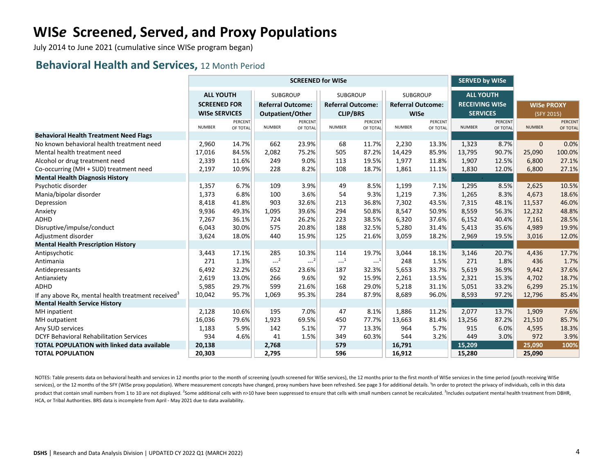July 2014 to June 2021 (cumulative since WISe program began)

#### **Behavioral Health and Services,** 12 Month Period

|                                                                |                      |          |                          | <b>SCREENED for WISe</b> |                          | <b>SERVED by WISe</b> |                          |          |                       |          |                   |          |
|----------------------------------------------------------------|----------------------|----------|--------------------------|--------------------------|--------------------------|-----------------------|--------------------------|----------|-----------------------|----------|-------------------|----------|
|                                                                | <b>ALL YOUTH</b>     |          | SUBGROUP                 |                          | <b>SUBGROUP</b>          |                       | <b>SUBGROUP</b>          |          | <b>ALL YOUTH</b>      |          |                   |          |
|                                                                | <b>SCREENED FOR</b>  |          | <b>Referral Outcome:</b> |                          | <b>Referral Outcome:</b> |                       | <b>Referral Outcome:</b> |          | <b>RECEIVING WISe</b> |          | <b>WISe PROXY</b> |          |
|                                                                | <b>WISe SERVICES</b> |          | Outpatient/Other         |                          | <b>CLIP/BRS</b>          |                       | <b>WISe</b>              |          | <b>SERVICES</b>       |          | (SFY 2015)        |          |
|                                                                |                      | PERCENT  |                          | PERCENT                  |                          | PERCENT               |                          | PERCENT  |                       | PERCENT  |                   | PERCENT  |
|                                                                | <b>NUMBER</b>        | OF TOTAL | <b>NUMBER</b>            | OF TOTAL                 | <b>NUMBER</b>            | OF TOTAL              | <b>NUMBER</b>            | OF TOTAL | <b>NUMBER</b>         | OF TOTAL | <b>NUMBER</b>     | OF TOTAL |
| <b>Behavioral Health Treatment Need Flags</b>                  |                      |          |                          |                          |                          |                       |                          |          |                       |          |                   |          |
| No known behavioral health treatment need                      | 2,960                | 14.7%    | 662                      | 23.9%                    | 68                       | 11.7%                 | 2,230                    | 13.3%    | 1,323                 | 8.7%     | $\mathbf{0}$      | 0.0%     |
| Mental health treatment need                                   | 17,016               | 84.5%    | 2,082                    | 75.2%                    | 505                      | 87.2%                 | 14,429                   | 85.9%    | 13,795                | 90.7%    | 25,090            | 100.0%   |
| Alcohol or drug treatment need                                 | 2,339                | 11.6%    | 249                      | 9.0%                     | 113                      | 19.5%                 | 1,977                    | 11.8%    | 1,907                 | 12.5%    | 6,800             | 27.1%    |
| Co-occurring (MH + SUD) treatment need                         | 2,197                | 10.9%    | 228                      | 8.2%                     | 108                      | 18.7%                 | 1,861                    | 11.1%    | 1,830                 | 12.0%    | 6,800             | 27.1%    |
| <b>Mental Health Diagnosis History</b>                         |                      |          |                          |                          |                          |                       |                          |          |                       |          |                   |          |
| Psychotic disorder                                             | 1,357                | 6.7%     | 109                      | 3.9%                     | 49                       | 8.5%                  | 1,199                    | 7.1%     | 1,295                 | 8.5%     | 2,625             | 10.5%    |
| Mania/bipolar disorder                                         | 1,373                | 6.8%     | 100                      | 3.6%                     | 54                       | 9.3%                  | 1,219                    | 7.3%     | 1,265                 | 8.3%     | 4,673             | 18.6%    |
| Depression                                                     | 8,418                | 41.8%    | 903                      | 32.6%                    | 213                      | 36.8%                 | 7,302                    | 43.5%    | 7,315                 | 48.1%    | 11,537            | 46.0%    |
| Anxiety                                                        | 9,936                | 49.3%    | 1,095                    | 39.6%                    | 294                      | 50.8%                 | 8,547                    | 50.9%    | 8,559                 | 56.3%    | 12,232            | 48.8%    |
| ADHD                                                           | 7,267                | 36.1%    | 724                      | 26.2%                    | 223                      | 38.5%                 | 6,320                    | 37.6%    | 6,152                 | 40.4%    | 7,161             | 28.5%    |
| Disruptive/impulse/conduct                                     | 6,043                | 30.0%    | 575                      | 20.8%                    | 188                      | 32.5%                 | 5,280                    | 31.4%    | 5,413                 | 35.6%    | 4,989             | 19.9%    |
| Adjustment disorder                                            | 3,624                | 18.0%    | 440                      | 15.9%                    | 125                      | 21.6%                 | 3,059                    | 18.2%    | 2,969                 | 19.5%    | 3,016             | 12.0%    |
| <b>Mental Health Prescription History</b>                      |                      |          |                          |                          |                          |                       |                          |          |                       |          |                   |          |
| Antipsychotic                                                  | 3,443                | 17.1%    | 285                      | 10.3%                    | 114                      | 19.7%                 | 3,044                    | 18.1%    | 3,146                 | 20.7%    | 4,436             | 17.7%    |
| Antimania                                                      | 271                  | 1.3%     | $-2$                     | $---2$                   | $\mathbf{L}^{-1}$        | $-1$                  | 248                      | 1.5%     | 271                   | 1.8%     | 436               | 1.7%     |
| Antidepressants                                                | 6,492                | 32.2%    | 652                      | 23.6%                    | 187                      | 32.3%                 | 5,653                    | 33.7%    | 5,619                 | 36.9%    | 9,442             | 37.6%    |
| Antianxiety                                                    | 2,619                | 13.0%    | 266                      | 9.6%                     | 92                       | 15.9%                 | 2,261                    | 13.5%    | 2,321                 | 15.3%    | 4,702             | 18.7%    |
| <b>ADHD</b>                                                    | 5,985                | 29.7%    | 599                      | 21.6%                    | 168                      | 29.0%                 | 5,218                    | 31.1%    | 5,051                 | 33.2%    | 6,299             | 25.1%    |
| If any above Rx, mental health treatment received <sup>3</sup> | 10,042               | 95.7%    | 1,069                    | 95.3%                    | 284                      | 87.9%                 | 8,689                    | 96.0%    | 8,593                 | 97.2%    | 12,796            | 85.4%    |
| <b>Mental Health Service History</b>                           |                      |          |                          |                          |                          |                       |                          |          |                       |          |                   |          |
| MH inpatient                                                   | 2,128                | 10.6%    | 195                      | 7.0%                     | 47                       | 8.1%                  | 1,886                    | 11.2%    | 2,077                 | 13.7%    | 1,909             | 7.6%     |
| MH outpatient                                                  | 16,036               | 79.6%    | 1,923                    | 69.5%                    | 450                      | 77.7%                 | 13,663                   | 81.4%    | 13,256                | 87.2%    | 21,510            | 85.7%    |
| Any SUD services                                               | 1,183                | 5.9%     | 142                      | 5.1%                     | 77                       | 13.3%                 | 964                      | 5.7%     | 915                   | 6.0%     | 4,595             | 18.3%    |
| <b>DCYF Behavioral Rehabilitation Services</b>                 | 934                  | 4.6%     | 41                       | 1.5%                     | 349                      | 60.3%                 | 544                      | 3.2%     | 449                   | 3.0%     | 972               | 3.9%     |
| <b>TOTAL POPULATION with linked data available</b>             | 20,138               |          | 2,768                    |                          | 579                      |                       | 16,791                   |          | 15,209                |          | 25,090            | 100%     |
| <b>TOTAL POPULATION</b>                                        | 20,303               |          | 2,795                    |                          | 596                      |                       | 16,912                   |          | 15,280                |          | 25,090            |          |

NOTES: Table presents data on behavioral health and services in 12 months prior to the month of screening (youth screened for WISe services), the 12 months prior to the first month of WISe services in the time period (yout services), or the 12 months of the SFY (WISe proxy population). Where measurement concepts have changed, proxy numbers have been refreshed. See page 3 for additional details. <sup>1</sup>In order to protect the privacy of individua product that contain small numbers from 1 to 10 are not displayed. <sup>2</sup>Some additional cells with n>10 have been suppressed to ensure that cells with small numbers cannot be recalculated. <sup>3</sup>Includes outpatient mental healt HCA, or Tribal Authorities. BRS data is incomplete from April - May 2021 due to data availability.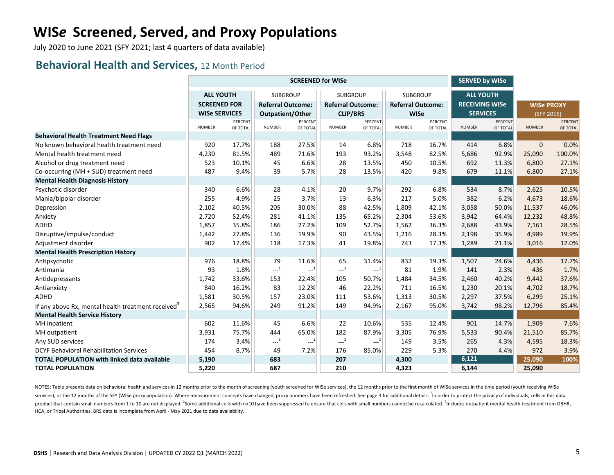July 2020 to June 2021 (SFY 2021; last 4 quarters of data available)

#### **Behavioral Health and Services,** 12 Month Period

|                                                                                            |                      |                |                                                       | <b>SCREENED for WISe</b> |                          | <b>SERVED by WISe</b> |                          |                |                       |          |                   |                |
|--------------------------------------------------------------------------------------------|----------------------|----------------|-------------------------------------------------------|--------------------------|--------------------------|-----------------------|--------------------------|----------------|-----------------------|----------|-------------------|----------------|
|                                                                                            | <b>ALL YOUTH</b>     |                | <b>SUBGROUP</b>                                       |                          | <b>SUBGROUP</b>          |                       | SUBGROUP                 |                | <b>ALL YOUTH</b>      |          |                   |                |
|                                                                                            | <b>SCREENED FOR</b>  |                | <b>Referral Outcome:</b>                              |                          | <b>Referral Outcome:</b> |                       | <b>Referral Outcome:</b> |                | <b>RECEIVING WISe</b> |          | <b>WISe PROXY</b> |                |
|                                                                                            | <b>WISe SERVICES</b> |                | Outpatient/Other                                      |                          | <b>CLIP/BRS</b>          |                       | <b>WISe</b>              |                | <b>SERVICES</b>       |          | (SFY 2015)        |                |
|                                                                                            |                      | <b>PERCENT</b> |                                                       | <b>PERCENT</b>           |                          | PERCENT               |                          | <b>PERCENT</b> |                       | PERCENT  |                   | <b>PERCENT</b> |
|                                                                                            | <b>NUMBER</b>        | OF TOTAL       | <b>NUMBER</b>                                         | OF TOTAL                 | <b>NUMBER</b>            | OF TOTAL              | <b>NUMBER</b>            | OF TOTAL       | <b>NUMBER</b>         | OF TOTAL | <b>NUMBER</b>     | OF TOTAL       |
| <b>Behavioral Health Treatment Need Flags</b><br>No known behavioral health treatment need |                      |                |                                                       |                          |                          | 6.8%                  |                          |                |                       |          | $\mathbf{0}$      |                |
| Mental health treatment need                                                               | 920                  | 17.7%<br>81.5% | 188<br>489                                            | 27.5%<br>71.6%           | 14                       |                       | 718                      | 16.7%          | 414                   | 6.8%     |                   | 0.0%           |
|                                                                                            | 4,230                |                |                                                       |                          | 193                      | 93.2%                 | 3,548                    | 82.5%          | 5,686<br>692          | 92.9%    | 25,090            | 100.0%         |
| Alcohol or drug treatment need                                                             | 523<br>487           | 10.1%<br>9.4%  | 45<br>39                                              | 6.6%<br>5.7%             | 28<br>28                 | 13.5%<br>13.5%        | 450<br>420               | 10.5%<br>9.8%  | 679                   | 11.3%    | 6,800<br>6,800    | 27.1%<br>27.1% |
| Co-occurring (MH + SUD) treatment need                                                     |                      |                |                                                       |                          |                          |                       |                          |                |                       | 11.1%    |                   |                |
| <b>Mental Health Diagnosis History</b>                                                     | 340                  | 6.6%           | 28                                                    | 4.1%                     | 20                       | 9.7%                  | 292                      | 6.8%           | 534                   | 8.7%     |                   | 10.5%          |
| Psychotic disorder<br>Mania/bipolar disorder                                               | 255                  | 4.9%           | 25                                                    | 3.7%                     | 13                       | 6.3%                  | 217                      | 5.0%           | 382                   | 6.2%     | 2,625<br>4,673    | 18.6%          |
|                                                                                            | 2,102                | 40.5%          | 205                                                   | 30.0%                    | 88                       | 42.5%                 | 1,809                    | 42.1%          | 3,058                 | 50.0%    | 11,537            | 46.0%          |
| Depression                                                                                 | 2,720                | 52.4%          | 281                                                   | 41.1%                    | 135                      | 65.2%                 | 2,304                    | 53.6%          | 3,942                 | 64.4%    | 12,232            | 48.8%          |
| Anxiety<br>ADHD                                                                            |                      | 35.8%          | 186                                                   | 27.2%                    | 109                      | 52.7%                 |                          | 36.3%          |                       | 43.9%    |                   |                |
| Disruptive/impulse/conduct                                                                 | 1,857<br>1,442       | 27.8%          | 136                                                   | 19.9%                    | 90                       | 43.5%                 | 1,562                    | 28.3%          | 2,688<br>2,198        | 35.9%    | 7,161<br>4,989    | 28.5%<br>19.9% |
| Adjustment disorder                                                                        | 902                  | 17.4%          | 118                                                   | 17.3%                    | 41                       | 19.8%                 | 1,216<br>743             | 17.3%          | 1,289                 | 21.1%    | 3,016             | 12.0%          |
| <b>Mental Health Prescription History</b>                                                  |                      |                |                                                       |                          |                          |                       |                          |                |                       |          |                   |                |
| Antipsychotic                                                                              | 976                  | 18.8%          | 79                                                    | 11.6%                    | 65                       | 31.4%                 | 832                      | 19.3%          | 1,507                 | 24.6%    | 4,436             | 17.7%          |
| Antimania                                                                                  | 93                   | 1.8%           | $\begin{smallmatrix} &1\\&\text{-} \end{smallmatrix}$ | $---1$                   | $\mathbf{L}^{-1}$        | $-1$                  | 81                       | 1.9%           | 141                   | 2.3%     | 436               | 1.7%           |
| Antidepressants                                                                            | 1,742                | 33.6%          | 153                                                   | 22.4%                    | 105                      | 50.7%                 | 1,484                    | 34.5%          | 2,460                 | 40.2%    | 9,442             | 37.6%          |
| Antianxiety                                                                                | 840                  | 16.2%          | 83                                                    | 12.2%                    | 46                       | 22.2%                 | 711                      | 16.5%          | 1,230                 | 20.1%    | 4,702             | 18.7%          |
| ADHD                                                                                       | 1,581                | 30.5%          | 157                                                   | 23.0%                    | 111                      | 53.6%                 | 1,313                    | 30.5%          | 2,297                 | 37.5%    | 6,299             | 25.1%          |
| If any above Rx, mental health treatment received <sup>3</sup>                             | 2,565                | 94.6%          | 249                                                   | 91.2%                    | 149                      | 94.9%                 | 2,167                    | 95.0%          | 3,742                 | 98.2%    | 12,796            | 85.4%          |
| <b>Mental Health Service History</b>                                                       |                      |                |                                                       |                          |                          |                       |                          |                |                       |          |                   |                |
| MH inpatient                                                                               | 602                  | 11.6%          | 45                                                    | 6.6%                     | 22                       | 10.6%                 | 535                      | 12.4%          | 901                   | 14.7%    | 1,909             | 7.6%           |
| MH outpatient                                                                              | 3,931                | 75.7%          | 444                                                   | 65.0%                    | 182                      | 87.9%                 | 3,305                    | 76.9%          | 5,533                 | 90.4%    | 21,510            | 85.7%          |
| Any SUD services                                                                           | 174                  | 3.4%           | $-2$                                                  | $-2$                     | $-1$                     | $-1$                  | 149                      | 3.5%           | 265                   | 4.3%     | 4,595             | 18.3%          |
| <b>DCYF Behavioral Rehabilitation Services</b>                                             | 454                  | 8.7%           | 49                                                    | 7.2%                     | 176                      | 85.0%                 | 229                      | 5.3%           | 270                   | 4.4%     | 972               | 3.9%           |
| <b>TOTAL POPULATION with linked data available</b>                                         | 5,190                |                | 683                                                   |                          | 207                      |                       | 4,300                    |                | 6,121                 |          | 25,090            | 100%           |
| <b>TOTAL POPULATION</b>                                                                    | 5,220                |                | 687                                                   |                          | 210                      |                       | 4,323                    |                | 6,144                 |          | 25,090            |                |
|                                                                                            |                      |                |                                                       |                          |                          |                       |                          |                |                       |          |                   |                |

NOTES: Table presents data on behavioral health and services in 12 months prior to the month of screening (youth screened for WISe services), the 12 months prior to the first month of WISe services in the time period (yout services), or the 12 months of the SFY (WISe proxy population). Where measurement concepts have changed, proxy numbers have been refreshed. See page 3 for additional details. In order to protect the privacy of individuals, product that contain small numbers from 1 to 10 are not displayed. <sup>2</sup>Some additional cells with n>10 have been suppressed to ensure that cells with small numbers cannot be recalculated. <sup>3</sup>Includes outpatient mental healt HCA, or Tribal Authorities. BRS data is incomplete from April - May 2021 due to data availability.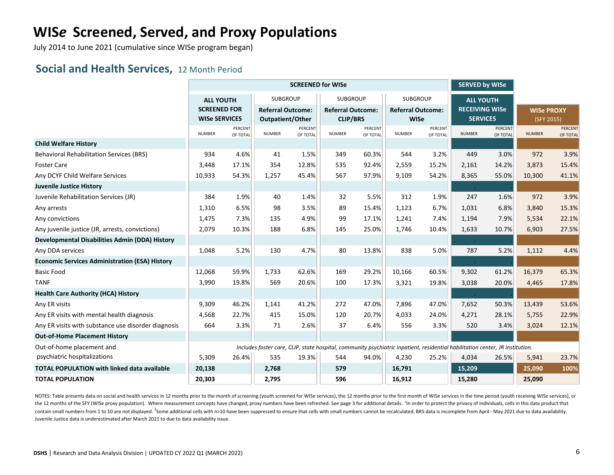July 2014 to June 2021 (cumulative since WISe program began)

#### **Social and Health Services,** 12 Month Period

|                                                       |                                         |                |                                                                                                                               | <b>SCREENED for WISe</b> |                                             | <b>SERVED by WISe</b> |                                             |                |                                           |                |                   |          |
|-------------------------------------------------------|-----------------------------------------|----------------|-------------------------------------------------------------------------------------------------------------------------------|--------------------------|---------------------------------------------|-----------------------|---------------------------------------------|----------------|-------------------------------------------|----------------|-------------------|----------|
|                                                       | <b>ALL YOUTH</b><br><b>SCREENED FOR</b> |                | <b>SUBGROUP</b><br><b>Referral Outcome:</b>                                                                                   |                          | <b>SUBGROUP</b><br><b>Referral Outcome:</b> |                       | <b>SUBGROUP</b><br><b>Referral Outcome:</b> |                | <b>ALL YOUTH</b><br><b>RECEIVING WISe</b> |                | <b>WISe PROXY</b> |          |
|                                                       | <b>WISe SERVICES</b>                    | <b>PERCENT</b> | Outpatient/Other                                                                                                              | <b>PERCENT</b>           | <b>CLIP/BRS</b>                             | PERCENT               | <b>WISe</b>                                 | <b>PERCENT</b> | <b>SERVICES</b>                           | <b>PERCENT</b> | (SFY 2015)        | PERCENT  |
|                                                       | <b>NUMBER</b>                           | OF TOTAL       | <b>NUMBER</b>                                                                                                                 | OF TOTAL                 | <b>NUMBER</b>                               | OF TOTAL              | <b>NUMBER</b>                               | OF TOTAL       | <b>NUMBER</b>                             | OF TOTAL       | <b>NUMBER</b>     | OF TOTAL |
| <b>Child Welfare History</b>                          |                                         |                |                                                                                                                               |                          |                                             |                       |                                             |                |                                           |                |                   |          |
| <b>Behavioral Rehabilitation Services (BRS)</b>       | 934                                     | 4.6%           | 41                                                                                                                            | 1.5%                     | 349                                         | 60.3%                 | 544                                         | 3.2%           | 449                                       | 3.0%           | 972               | 3.9%     |
| <b>Foster Care</b>                                    | 3,448                                   | 17.1%          | 354                                                                                                                           | 12.8%                    | 535                                         | 92.4%                 | 2,559                                       | 15.2%          | 2,161                                     | 14.2%          | 3,873             | 15.4%    |
| Any DCYF Child Welfare Services                       | 10,933                                  | 54.3%          | 1,257                                                                                                                         | 45.4%                    | 567                                         | 97.9%                 | 9,109                                       | 54.2%          | 8,365                                     | 55.0%          | 10,300            | 41.1%    |
| <b>Juvenile Justice History</b>                       |                                         |                |                                                                                                                               |                          |                                             |                       |                                             |                | $\sim$                                    |                |                   |          |
| Juvenile Rehabilitation Services (JR)                 | 384                                     | 1.9%           | 40                                                                                                                            | 1.4%                     | 32                                          | 5.5%                  | 312                                         | 1.9%           | 247                                       | 1.6%           | 972               | 3.9%     |
| Any arrests                                           | 1,310                                   | 6.5%           | 98                                                                                                                            | 3.5%                     | 89                                          | 15.4%                 | 1,123                                       | 6.7%           | 1,031                                     | 6.8%           | 3,840             | 15.3%    |
| Any convictions                                       | 1,475                                   | 7.3%           | 135                                                                                                                           | 4.9%                     | 99                                          | 17.1%                 | 1,241                                       | 7.4%           | 1,194                                     | 7.9%           | 5,534             | 22.1%    |
| Any juvenile justice (JR, arrests, convictions)       | 2,079                                   | 10.3%          | 188                                                                                                                           | 6.8%                     | 145                                         | 25.0%                 | 1,746                                       | 10.4%          | 1,633                                     | 10.7%          | 6,903             | 27.5%    |
| Developmental Disabilities Admin (DDA) History        |                                         |                |                                                                                                                               |                          |                                             |                       |                                             |                |                                           |                |                   |          |
| Any DDA services                                      | 1,048                                   | 5.2%           | 130                                                                                                                           | 4.7%                     | 80                                          | 13.8%                 | 838                                         | 5.0%           | 787                                       | 5.2%           | 1,112             | 4.4%     |
| <b>Economic Services Administration (ESA) History</b> |                                         |                |                                                                                                                               |                          |                                             |                       |                                             |                |                                           |                |                   |          |
| <b>Basic Food</b>                                     | 12,068                                  | 59.9%          | 1,733                                                                                                                         | 62.6%                    | 169                                         | 29.2%                 | 10,166                                      | 60.5%          | 9,302                                     | 61.2%          | 16,379            | 65.3%    |
| <b>TANF</b>                                           | 3,990                                   | 19.8%          | 569                                                                                                                           | 20.6%                    | 100                                         | 17.3%                 | 3,321                                       | 19.8%          | 3,038                                     | 20.0%          | 4,465             | 17.8%    |
| <b>Health Care Authority (HCA) History</b>            |                                         |                |                                                                                                                               |                          |                                             |                       |                                             |                |                                           |                |                   |          |
| Any ER visits                                         | 9,309                                   | 46.2%          | 1,141                                                                                                                         | 41.2%                    | 272                                         | 47.0%                 | 7,896                                       | 47.0%          | 7,652                                     | 50.3%          | 13,439            | 53.6%    |
| Any ER visits with mental health diagnosis            | 4,568                                   | 22.7%          | 415                                                                                                                           | 15.0%                    | 120                                         | 20.7%                 | 4,033                                       | 24.0%          | 4,271                                     | 28.1%          | 5,755             | 22.9%    |
| Any ER visits with substance use disorder diagnosis   | 664                                     | 3.3%           | 71                                                                                                                            | 2.6%                     | 37                                          | 6.4%                  | 556                                         | 3.3%           | 520                                       | 3.4%           | 3,024             | 12.1%    |
| <b>Out-of-Home Placement History</b>                  |                                         |                |                                                                                                                               |                          |                                             |                       |                                             |                |                                           |                |                   |          |
| Out-of-home placement and                             |                                         |                | Includes foster care, CLIP, state hospital, community psychiatric inpatient, residential habilitation center, JR institution. |                          |                                             |                       |                                             |                |                                           |                |                   |          |
| psychiatric hospitalizations                          | 5,309                                   | 26.4%          | 535                                                                                                                           | 19.3%                    | 544                                         | 94.0%                 | 4,230                                       | 25.2%          | 4,034                                     | 26.5%          | 5,941             | 23.7%    |
| <b>TOTAL POPULATION with linked data available</b>    | 20,138                                  |                | 2,768                                                                                                                         |                          | 579                                         |                       | 16,791                                      |                | 15,209                                    |                | 25,090            | 100%     |
| <b>TOTAL POPULATION</b>                               | 20,303                                  |                | 2,795                                                                                                                         |                          | 596                                         |                       | 16,912                                      |                | 15,280                                    |                | 25,090            |          |

NOTES: Table presents data on social and health services in 12 months prior to the month of screening (youth screened for WISe services), the 12 months prior to the first month of WISe services in the time period (youth re the 12 months of the SFY (WISe proxy population). Where measurement concepts have changed, proxy numbers have been refreshed. See page 3 for additional details. <sup>1</sup>In order to protect the privacy of individuals, cells in t contain small numbers from 1 to 10 are not displayed. <sup>2</sup>Some additional cells with n>10 have been suppressed to ensure that cells with small numbers cannot be recalculated. BRS data is incomplete from April - May 2021 due Juvenile Justice data is underestimated after March 2021 to due to data availability issue.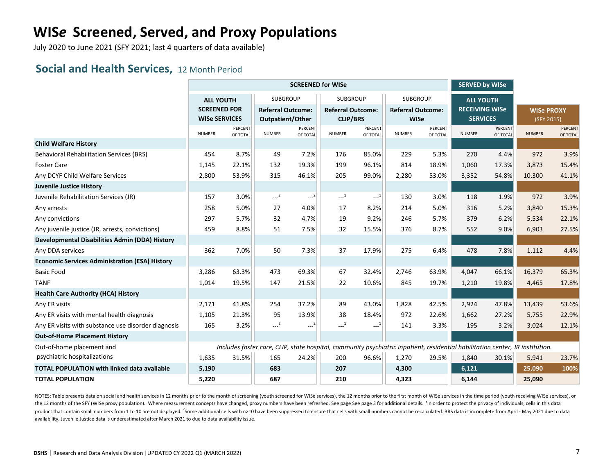July 2020 to June 2021 (SFY 2021; last 4 quarters of data available)

#### **Social and Health Services,** 12 Month Period

|                                                       |                                                                 |                |                                                                                                                               | <b>SCREENED for WISe</b>     |                                             |          |                                             |                | <b>SERVED by WISe</b>                                        |                |                   |                |
|-------------------------------------------------------|-----------------------------------------------------------------|----------------|-------------------------------------------------------------------------------------------------------------------------------|------------------------------|---------------------------------------------|----------|---------------------------------------------|----------------|--------------------------------------------------------------|----------------|-------------------|----------------|
|                                                       | <b>ALL YOUTH</b><br><b>SCREENED FOR</b><br><b>WISe SERVICES</b> |                | <b>SUBGROUP</b><br><b>Referral Outcome:</b>                                                                                   |                              | <b>SUBGROUP</b><br><b>Referral Outcome:</b> |          | <b>SUBGROUP</b><br><b>Referral Outcome:</b> |                | <b>ALL YOUTH</b><br><b>RECEIVING WISe</b><br><b>SERVICES</b> |                | <b>WISe PROXY</b> |                |
|                                                       | <b>NUMBER</b>                                                   | <b>PERCENT</b> | Outpatient/Other<br><b>NUMBER</b>                                                                                             | <b>PERCENT</b>               | <b>CLIP/BRS</b><br><b>NUMBER</b>            | PERCENT  | <b>WISe</b>                                 | <b>PERCENT</b> |                                                              | <b>PERCENT</b> | (SFY 2015)        | <b>PERCENT</b> |
| <b>Child Welfare History</b>                          |                                                                 | OF TOTAL       |                                                                                                                               | OF TOTAL                     |                                             | OF TOTAL | <b>NUMBER</b>                               | OF TOTAL       | <b>NUMBER</b>                                                | OF TOTAL       | <b>NUMBER</b>     | OF TOTAL       |
| <b>Behavioral Rehabilitation Services (BRS)</b>       | 454                                                             | 8.7%           | 49                                                                                                                            | 7.2%                         | 176                                         | 85.0%    | 229                                         | 5.3%           | 270                                                          | 4.4%           | 972               | 3.9%           |
| <b>Foster Care</b>                                    | 1,145                                                           | 22.1%          | 132                                                                                                                           | 19.3%                        | 199                                         | 96.1%    | 814                                         | 18.9%          | 1,060                                                        | 17.3%          | 3,873             | 15.4%          |
| Any DCYF Child Welfare Services                       | 2,800                                                           | 53.9%          | 315                                                                                                                           | 46.1%                        | 205                                         | 99.0%    | 2,280                                       | 53.0%          | 3,352                                                        | 54.8%          | 10,300            | 41.1%          |
| <b>Juvenile Justice History</b>                       |                                                                 |                |                                                                                                                               |                              |                                             |          |                                             |                |                                                              |                |                   |                |
| Juvenile Rehabilitation Services (JR)                 | 157                                                             | 3.0%           | $-2$                                                                                                                          | $\left  \frac{2}{2} \right $ | $-1$                                        | $-1$     | 130                                         | 3.0%           | 118                                                          | 1.9%           | 972               | 3.9%           |
| Any arrests                                           | 258                                                             | 5.0%           | 27                                                                                                                            | 4.0%                         | 17                                          | 8.2%     | 214                                         | 5.0%           | 316                                                          | 5.2%           | 3,840             | 15.3%          |
| Any convictions                                       | 297                                                             | 5.7%           | 32                                                                                                                            | 4.7%                         | 19                                          | 9.2%     | 246                                         | 5.7%           | 379                                                          | 6.2%           | 5,534             | 22.1%          |
| Any juvenile justice (JR, arrests, convictions)       | 459                                                             | 8.8%           | 51                                                                                                                            | 7.5%                         | 32                                          | 15.5%    | 376                                         | 8.7%           | 552                                                          | 9.0%           | 6,903             | 27.5%          |
| Developmental Disabilities Admin (DDA) History        |                                                                 |                |                                                                                                                               |                              |                                             |          |                                             |                |                                                              |                |                   |                |
| Any DDA services                                      | 362                                                             | 7.0%           | 50                                                                                                                            | 7.3%                         | 37                                          | 17.9%    | 275                                         | 6.4%           | 478                                                          | 7.8%           | 1,112             | 4.4%           |
| <b>Economic Services Administration (ESA) History</b> |                                                                 |                |                                                                                                                               |                              |                                             |          |                                             |                |                                                              |                |                   |                |
| <b>Basic Food</b>                                     | 3,286                                                           | 63.3%          | 473                                                                                                                           | 69.3%                        | 67                                          | 32.4%    | 2,746                                       | 63.9%          | 4,047                                                        | 66.1%          | 16,379            | 65.3%          |
| <b>TANF</b>                                           | 1,014                                                           | 19.5%          | 147                                                                                                                           | 21.5%                        | 22                                          | 10.6%    | 845                                         | 19.7%          | 1,210                                                        | 19.8%          | 4,465             | 17.8%          |
| <b>Health Care Authority (HCA) History</b>            |                                                                 |                |                                                                                                                               |                              |                                             |          |                                             |                |                                                              |                |                   |                |
| Any ER visits                                         | 2,171                                                           | 41.8%          | 254                                                                                                                           | 37.2%                        | 89                                          | 43.0%    | 1,828                                       | 42.5%          | 2,924                                                        | 47.8%          | 13,439            | 53.6%          |
| Any ER visits with mental health diagnosis            | 1,105                                                           | 21.3%          | 95                                                                                                                            | 13.9%                        | 38                                          | 18.4%    | 972                                         | 22.6%          | 1,662                                                        | 27.2%          | 5,755             | 22.9%          |
| Any ER visits with substance use disorder diagnosis   | 165                                                             | 3.2%           | $-2$                                                                                                                          | $\mathbb{H}^{\mathbb{Z}^2}$  | $-1$                                        | $-1$     | 141                                         | 3.3%           | 195                                                          | 3.2%           | 3,024             | 12.1%          |
| <b>Out-of-Home Placement History</b>                  |                                                                 |                |                                                                                                                               |                              |                                             |          |                                             |                |                                                              |                |                   |                |
| Out-of-home placement and                             |                                                                 |                | Includes foster care, CLIP, state hospital, community psychiatric inpatient, residential habilitation center, JR institution. |                              |                                             |          |                                             |                |                                                              |                |                   |                |
| psychiatric hospitalizations                          | 1,635                                                           | 31.5%          | 165                                                                                                                           | 24.2%                        | 200                                         | 96.6%    | 1,270                                       | 29.5%          | 1,840                                                        | 30.1%          | 5,941             | 23.7%          |
| <b>TOTAL POPULATION with linked data available</b>    | 5,190                                                           |                | 683                                                                                                                           |                              | 207                                         |          | 4,300                                       |                | 6,121                                                        |                | 25,090            | 100%           |
| <b>TOTAL POPULATION</b>                               | 5,220                                                           |                | 687                                                                                                                           |                              | 210                                         |          | 4,323                                       |                | 6,144                                                        |                | 25,090            |                |

NOTES: Table presents data on social and health services in 12 months prior to the month of screening (youth screened for WISe services), the 12 months prior to the first month of WISe services in the time period (youth re the 12 months of the SFY (WISe proxy population). Where measurement concepts have changed, proxy numbers have been refreshed. See page See page 3 for additional details. <sup>1</sup>In order to protect the privacy of individuals, c product that contain small numbers from 1 to 10 are not displayed. <sup>2</sup>Some additional cells with n>10 have been suppressed to ensure that cells with small numbers cannot be recalculated. BRS data is incomplete from April availability. Juvenile Justice data is underestimated after March 2021 to due to data availability issue.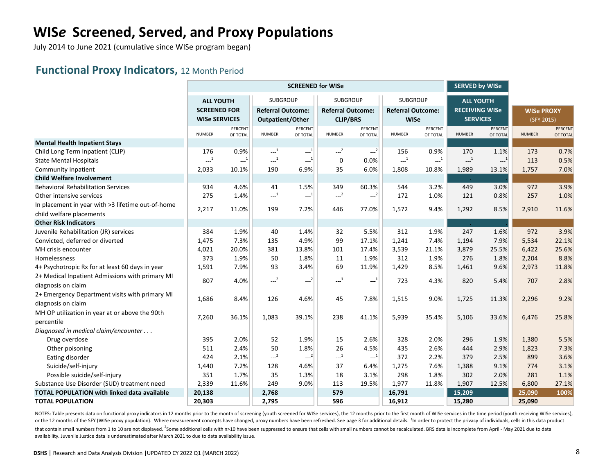July 2014 to June 2021 (cumulative since WISe program began)

#### **Functional Proxy Indicators,** 12 Month Period

|                                                    |                      |                                         |                                              | <b>SCREENED for WISe</b>                      |                          | <b>SERVED by WISe</b> |                          |                     |                                                       |                            |                   |                     |
|----------------------------------------------------|----------------------|-----------------------------------------|----------------------------------------------|-----------------------------------------------|--------------------------|-----------------------|--------------------------|---------------------|-------------------------------------------------------|----------------------------|-------------------|---------------------|
|                                                    | <b>ALL YOUTH</b>     |                                         | SUBGROUP                                     |                                               | <b>SUBGROUP</b>          |                       | <b>SUBGROUP</b>          |                     | <b>ALL YOUTH</b>                                      |                            |                   |                     |
|                                                    | <b>SCREENED FOR</b>  |                                         | <b>Referral Outcome:</b>                     |                                               | <b>Referral Outcome:</b> |                       | <b>Referral Outcome:</b> |                     | <b>RECEIVING WISe</b>                                 |                            | <b>WISe PROXY</b> |                     |
|                                                    | <b>WISe SERVICES</b> |                                         | Outpatient/Other                             |                                               | <b>CLIP/BRS</b>          |                       | <b>WISe</b>              |                     | <b>SERVICES</b>                                       |                            | (SFY 2015)        |                     |
|                                                    | <b>NUMBER</b>        | PERCENT<br>OF TOTAL                     | <b>NUMBER</b>                                | PERCENT<br>OF TOTAL                           | <b>NUMBER</b>            | PERCENT<br>OF TOTAL   | <b>NUMBER</b>            | PERCENT<br>OF TOTAL | <b>NUMBER</b>                                         | <b>PERCENT</b><br>OF TOTAL | <b>NUMBER</b>     | PERCENT<br>OF TOTAL |
| <b>Mental Health Inpatient Stays</b>               |                      |                                         |                                              |                                               |                          |                       |                          |                     |                                                       |                            |                   |                     |
| Child Long Term Inpatient (CLIP)                   | 176                  | 0.9%                                    | $\begin{smallmatrix} &1\\&\end{smallmatrix}$ | $-1$                                          | $-2$                     | $-2$                  | 156                      | 0.9%                | 170                                                   | 1.1%                       | 173               | 0.7%                |
| <b>State Mental Hospitals</b>                      | $-1$                 | $\left\langle \dots \right\rangle ^{1}$ | $\sim$ <sup>1</sup>                          | $\ldots^{(1)}$                                | $\mathbf 0$              | 0.0%                  | $\sim$ <sup>1</sup>      | $\sim$ <sup>1</sup> | $\begin{smallmatrix} &1\\&\text{-} \end{smallmatrix}$ | $\cdots$ <sup>1</sup>      | 113               | 0.5%                |
| Community Inpatient                                | 2,033                | 10.1%                                   | 190                                          | 6.9%                                          | 35                       | 6.0%                  | 1,808                    | 10.8%               | 1,989                                                 | 13.1%                      | 1,757             | 7.0%                |
| <b>Child Welfare Involvement</b>                   |                      |                                         |                                              |                                               |                          |                       |                          |                     |                                                       |                            |                   |                     |
| <b>Behavioral Rehabilitation Services</b>          | 934                  | 4.6%                                    | 41                                           | 1.5%                                          | 349                      | 60.3%                 | 544                      | 3.2%                | 449                                                   | 3.0%                       | 972               | 3.9%                |
| Other intensive services                           | 275                  | 1.4%                                    | $-1$                                         | $-1$                                          | $-2$                     | $--2$                 | 172                      | 1.0%                | 121                                                   | 0.8%                       | 257               | 1.0%                |
| In placement in year with >3 lifetime out-of-home  |                      |                                         |                                              |                                               |                          |                       |                          |                     |                                                       |                            |                   |                     |
| child welfare placements                           | 2,217                | 11.0%                                   | 199                                          | 7.2%                                          | 446                      | 77.0%                 | 1,572                    | 9.4%                | 1,292                                                 | 8.5%                       | 2,910             | 11.6%               |
| <b>Other Risk Indicators</b>                       |                      |                                         |                                              |                                               |                          |                       |                          |                     |                                                       |                            |                   |                     |
| Juvenile Rehabilitation (JR) services              | 384                  | 1.9%                                    | 40                                           | 1.4%                                          | 32                       | 5.5%                  | 312                      | 1.9%                | 247                                                   | 1.6%                       | 972               | 3.9%                |
| Convicted, deferred or diverted                    | 1,475                | 7.3%                                    | 135                                          | 4.9%                                          | 99                       | 17.1%                 | 1,241                    | 7.4%                | 1,194                                                 | 7.9%                       | 5,534             | 22.1%               |
| MH crisis encounter                                | 4,021                | 20.0%                                   | 381                                          | 13.8%                                         | 101                      | 17.4%                 | 3,539                    | 21.1%               | 3,879                                                 | 25.5%                      | 6,422             | 25.6%               |
| Homelessness                                       | 373                  | 1.9%                                    | 50                                           | 1.8%                                          | 11                       | 1.9%                  | 312                      | 1.9%                | 276                                                   | 1.8%                       | 2,204             | 8.8%                |
| 4+ Psychotropic Rx for at least 60 days in year    | 1,591                | 7.9%                                    | 93                                           | 3.4%                                          | 69                       | 11.9%                 | 1,429                    | 8.5%                | 1,461                                                 | 9.6%                       | 2,973             | 11.8%               |
| 2+ Medical Inpatient Admissions with primary MI    |                      |                                         | $-2$                                         |                                               |                          |                       |                          |                     |                                                       |                            |                   |                     |
| diagnosis on claim                                 | 807                  | 4.0%                                    |                                              | $\begin{smallmatrix} & & 2 \end{smallmatrix}$ | $\mathbf{L}^1$           | $\mathbf{L}^1$        | 723                      | 4.3%                | 820                                                   | 5.4%                       | 707               | 2.8%                |
| 2+ Emergency Department visits with primary MI     |                      |                                         |                                              |                                               |                          |                       |                          |                     |                                                       |                            |                   |                     |
| diagnosis on claim                                 | 1,686                | 8.4%                                    | 126                                          | 4.6%                                          | 45                       | 7.8%                  | 1,515                    | 9.0%                | 1,725                                                 | 11.3%                      | 2,296             | 9.2%                |
| MH OP utilization in year at or above the 90th     |                      |                                         |                                              |                                               |                          |                       |                          |                     |                                                       |                            |                   |                     |
| percentile                                         | 7,260                | 36.1%                                   | 1,083                                        | 39.1%                                         | 238                      | 41.1%                 | 5,939                    | 35.4%               | 5,106                                                 | 33.6%                      | 6,476             | 25.8%               |
| Diagnosed in medical claim/encounter               |                      |                                         |                                              |                                               |                          |                       |                          |                     |                                                       |                            |                   |                     |
| Drug overdose                                      | 395                  | 2.0%                                    | 52                                           | 1.9%                                          | 15                       | 2.6%                  | 328                      | 2.0%                | 296                                                   | 1.9%                       | 1,380             | 5.5%                |
| Other poisoning                                    | 511                  | 2.4%                                    | 50                                           | 1.8%                                          | 26                       | 4.5%                  | 435                      | 2.6%                | 444                                                   | 2.9%                       | 1,823             | 7.3%                |
| Eating disorder                                    | 424                  | 2.1%                                    | $-2$                                         | $--2$                                         | $\mathbf{L}^{-1}$        | $\mathbf{L}^{-1}$     | 372                      | 2.2%                | 379                                                   | 2.5%                       | 899               | 3.6%                |
| Suicide/self-injury                                | 1,440                | 7.2%                                    | 128                                          | 4.6%                                          | 37                       | 6.4%                  | 1,275                    | 7.6%                | 1,388                                                 | 9.1%                       | 774               | 3.1%                |
| Possible suicide/self-injury                       | 351                  | 1.7%                                    | 35                                           | 1.3%                                          | 18                       | 3.1%                  | 298                      | 1.8%                | 302                                                   | 2.0%                       | 281               | 1.1%                |
| Substance Use Disorder (SUD) treatment need        | 2,339                | 11.6%                                   | 249                                          | 9.0%                                          | 113                      | 19.5%                 | 1,977                    | 11.8%               | 1,907                                                 | 12.5%                      | 6,800             | 27.1%               |
| <b>TOTAL POPULATION with linked data available</b> | 20,138               |                                         | 2,768                                        |                                               | 579                      |                       | 16,791                   |                     | 15,209                                                |                            | 25,090            | 100%                |
| <b>TOTAL POPULATION</b>                            | 20,303               |                                         | 2,795                                        |                                               | 596                      |                       | 16,912                   |                     | 15,280                                                |                            | 25,090            |                     |

NOTES: Table presents data on functional proxy indicators in 12 months prior to the month of screening (youth screened for WISe services), the 12 months prior to the first month of WISe services in the time period (youth r or the 12 months of the SFY (WISe proxy population). Where measurement concepts have changed, proxy numbers have been refreshed. See page 3 for additional details. 1n order to protect the privacy of individuals, cells in t that contain small numbers from 1 to 10 are not displayed. <sup>2</sup>Some additional cells with n>10 have been suppressed to ensure that cells with small numbers cannot be recalculated. BRS data is incomplete from April - May 202 availability. Juvenile Justice data is underestimated after March 2021 to due to data availability issue.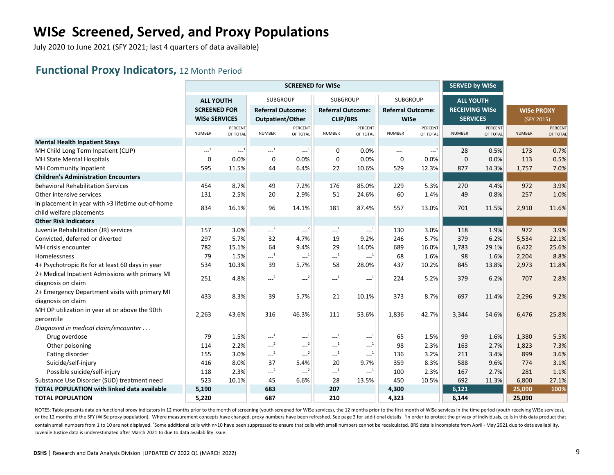July 2020 to June 2021 (SFY 2021; last 4 quarters of data available)

#### **Functional Proxy Indicators,** 12 Month Period

|                                                    |                      |                                        |                                              | <b>SCREENED for WISe</b>        |                          | <b>SERVED by WISe</b>                             |                          |                     |                       |                     |                   |                     |
|----------------------------------------------------|----------------------|----------------------------------------|----------------------------------------------|---------------------------------|--------------------------|---------------------------------------------------|--------------------------|---------------------|-----------------------|---------------------|-------------------|---------------------|
|                                                    | <b>ALL YOUTH</b>     |                                        | <b>SUBGROUP</b>                              |                                 | <b>SUBGROUP</b>          |                                                   | <b>SUBGROUP</b>          |                     | <b>ALL YOUTH</b>      |                     |                   |                     |
|                                                    | <b>SCREENED FOR</b>  |                                        | <b>Referral Outcome:</b>                     |                                 | <b>Referral Outcome:</b> |                                                   | <b>Referral Outcome:</b> |                     | <b>RECEIVING WISe</b> |                     | <b>WISe PROXY</b> |                     |
|                                                    | <b>WISe SERVICES</b> |                                        | Outpatient/Other                             |                                 | <b>CLIP/BRS</b>          |                                                   | <b>WISe</b>              |                     | <b>SERVICES</b>       |                     | (SFY 2015)        |                     |
|                                                    | <b>NUMBER</b>        | PERCENT<br>OF TOTAL                    | <b>NUMBER</b>                                | PERCENT<br>OF TOTAL             | <b>NUMBER</b>            | PERCENT<br>OF TOTAL                               | <b>NUMBER</b>            | PERCENT<br>OF TOTAL | <b>NUMBER</b>         | PERCENT<br>OF TOTAL | <b>NUMBER</b>     | PERCENT<br>OF TOTAL |
| <b>Mental Health Inpatient Stays</b>               |                      |                                        |                                              |                                 |                          |                                                   |                          |                     |                       |                     |                   |                     |
| MH Child Long Term Inpatient (CLIP)                | $\ldots^1$           | $\mathbb{L}^{\mathbb{L}^{\mathbb{L}}}$ | $\sim$ <sup>1</sup>                          | $\sim$ <sup>1</sup>             | 0                        | 0.0%                                              | $\ldots$ <sup>1</sup>    | $-1$                | 28                    | 0.5%                | 173               | 0.7%                |
| MH State Mental Hospitals                          | $\mathbf 0$          | 0.0%                                   | $\mathbf 0$                                  | 0.0%                            | $\mathbf 0$              | 0.0%                                              | $\mathbf 0$              | 0.0%                | $\pmb{0}$             | 0.0%                | 113               | 0.5%                |
| MH Community Inpatient                             | 595                  | 11.5%                                  | 44                                           | 6.4%                            | 22                       | 10.6%                                             | 529                      | 12.3%               | 877                   | 14.3%               | 1,757             | 7.0%                |
| <b>Children's Administration Encounters</b>        |                      |                                        |                                              |                                 |                          |                                                   |                          |                     |                       |                     |                   |                     |
| <b>Behavioral Rehabilitation Services</b>          | 454                  | 8.7%                                   | 49                                           | 7.2%                            | 176                      | 85.0%                                             | 229                      | 5.3%                | 270                   | 4.4%                | 972               | 3.9%                |
| Other intensive services                           | 131                  | 2.5%                                   | 20                                           | 2.9%                            | 51                       | 24.6%                                             | 60                       | 1.4%                | 49                    | 0.8%                | 257               | 1.0%                |
| In placement in year with >3 lifetime out-of-home  |                      |                                        |                                              |                                 |                          |                                                   |                          |                     |                       |                     |                   |                     |
| child welfare placements                           | 834                  | 16.1%                                  | 96                                           | 14.1%                           | 181                      | 87.4%                                             | 557                      | 13.0%               | 701                   | 11.5%               | 2,910             | 11.6%               |
| <b>Other Risk Indicators</b>                       |                      |                                        |                                              |                                 |                          |                                                   |                          |                     |                       |                     |                   |                     |
| Juvenile Rehabilitation (JR) services              | 157                  | 3.0%                                   | $\sim$ <sup>2</sup>                          | $\left\lfloor -2 \right\rfloor$ | $\ldots^1$               | $\mathbb{L}^{[1]}$                                | 130                      | 3.0%                | 118                   | 1.9%                | 972               | 3.9%                |
| Convicted, deferred or diverted                    | 297                  | 5.7%                                   | 32                                           | 4.7%                            | 19                       | 9.2%                                              | 246                      | 5.7%                | 379                   | 6.2%                | 5,534             | 22.1%               |
| MH crisis encounter                                | 782                  | 15.1%                                  | 64                                           | 9.4%                            | 29                       | 14.0%                                             | 689                      | 16.0%               | 1,783                 | 29.1%               | 6,422             | 25.6%               |
| Homelessness                                       | 79                   | 1.5%                                   | $\textcolor{red}{\mathbf{---}^1}$            | $-1$                            | $^{1}$                   | $\ldots^1$                                        | 68                       | 1.6%                | 98                    | 1.6%                | 2,204             | 8.8%                |
| 4+ Psychotropic Rx for at least 60 days in year    | 534                  | 10.3%                                  | 39                                           | 5.7%                            | 58                       | 28.0%                                             | 437                      | 10.2%               | 845                   | 13.8%               | 2,973             | 11.8%               |
| 2+ Medical Inpatient Admissions with primary MI    |                      |                                        |                                              |                                 |                          |                                                   |                          |                     |                       |                     |                   |                     |
| diagnosis on claim                                 | 251                  | 4.8%                                   | $--2$                                        | $\left\lfloor -2 \right\rfloor$ | $\sim$ <sup>1</sup>      | $\textcolor{blue}{\mathbf{1}+\mathbf{2}}$         | 224                      | 5.2%                | 379                   | 6.2%                | 707               | 2.8%                |
| 2+ Emergency Department visits with primary MI     |                      |                                        |                                              |                                 |                          |                                                   |                          |                     |                       |                     |                   |                     |
| diagnosis on claim                                 | 433                  | 8.3%                                   | 39                                           | 5.7%                            | 21                       | 10.1%                                             | 373                      | 8.7%                | 697                   | 11.4%               | 2,296             | 9.2%                |
| MH OP utilization in year at or above the 90th     |                      |                                        |                                              |                                 |                          |                                                   |                          |                     |                       |                     |                   |                     |
| percentile                                         | 2,263                | 43.6%                                  | 316                                          | 46.3%                           | 111                      | 53.6%                                             | 1,836                    | 42.7%               | 3,344                 | 54.6%               | 6,476             | 25.8%               |
| Diagnosed in medical claim/encounter               |                      |                                        |                                              |                                 |                          |                                                   |                          |                     |                       |                     |                   |                     |
| Drug overdose                                      | 79                   | 1.5%                                   | $\begin{smallmatrix} &1\\&\end{smallmatrix}$ | $\cdots$ <sup>1</sup>           | $\ldots^1$               | $-1$                                              | 65                       | 1.5%                | 99                    | 1.6%                | 1,380             | 5.5%                |
| Other poisoning                                    | 114                  | 2.2%                                   | $-2$                                         | $\sim$ <sup>2</sup>             | $\cdots$ <sup>1</sup>    | $\begin{smallmatrix} &1\\&\dots\end{smallmatrix}$ | 98                       | 2.3%                | 163                   | 2.7%                | 1,823             | 7.3%                |
| Eating disorder                                    | 155                  | 3.0%                                   | $\sim$ <sup>2</sup>                          | $-2$                            | $\ldots$ <sup>1</sup>    | $\mathbb{H}^{1}$                                  | 136                      | 3.2%                | 211                   | 3.4%                | 899               | 3.6%                |
| Suicide/self-injury                                | 416                  | 8.0%                                   | 37                                           | 5.4%                            | 20                       | 9.7%                                              | 359                      | 8.3%                | 588                   | 9.6%                | 774               | 3.1%                |
| Possible suicide/self-injury                       | 118                  | 2.3%                                   | $--2$                                        | $-2$                            | $\sim$ <sup>1</sup>      | $\ldots^1$                                        | 100                      | 2.3%                | 167                   | 2.7%                | 281               | 1.1%                |
| Substance Use Disorder (SUD) treatment need        | 523                  | 10.1%                                  | 45                                           | 6.6%                            | 28                       | 13.5%                                             | 450                      | 10.5%               | 692                   | 11.3%               | 6,800             | 27.1%               |
| <b>TOTAL POPULATION with linked data available</b> | 5,190                |                                        | 683                                          |                                 | 207                      |                                                   | 4,300                    |                     | 6,121                 |                     | 25,090            | 100%                |
| <b>TOTAL POPULATION</b>                            | 5,220                |                                        | 687                                          |                                 | 210                      |                                                   | 4,323                    |                     | 6,144                 |                     | 25,090            |                     |

NOTES: Table presents data on functional proxy indicators in 12 months prior to the month of screening (youth screened for WISe services), the 12 months prior to the first month of WISe services in the time period (youth r or the 12 months of the SFY (WISe proxy population). Where measurement concepts have changed, proxy numbers have been refreshed. See page 3 for additional details. <sup>1</sup>In order to protect the privacy of individuals, cells i contain small numbers from 1 to 10 are not displayed. <sup>2</sup>Some additional cells with n>10 have been suppressed to ensure that cells with small numbers cannot be recalculated. BRS data is incomplete from April - May 2021 due Juvenile Justice data is underestimated after March 2021 to due to data availability issue.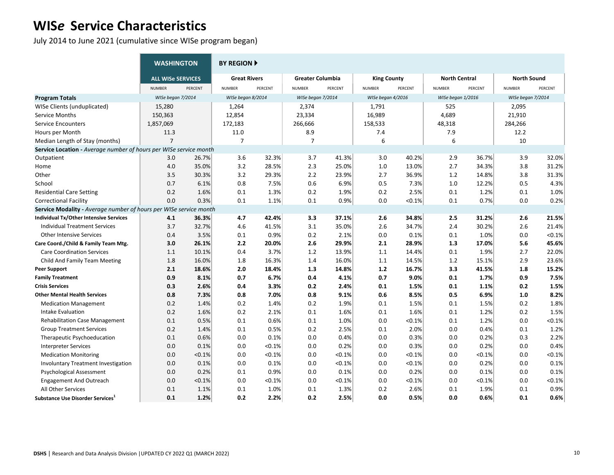July 2014 to June 2021 (cumulative since WISe program began)

|                                                                          | <b>WASHINGTON</b>        |                    | <b>BY REGION ▶</b>  |         |                         |         |                    |         |                      |         |                    |         |
|--------------------------------------------------------------------------|--------------------------|--------------------|---------------------|---------|-------------------------|---------|--------------------|---------|----------------------|---------|--------------------|---------|
|                                                                          | <b>ALL WISe SERVICES</b> |                    | <b>Great Rivers</b> |         | <b>Greater Columbia</b> |         | <b>King County</b> |         | <b>North Central</b> |         | <b>North Sound</b> |         |
|                                                                          | <b>NUMBER</b>            | PERCENT            | <b>NUMBER</b>       | PERCENT | <b>NUMBER</b>           | PERCENT | <b>NUMBER</b>      | PERCENT | <b>NUMBER</b>        | PERCENT | <b>NUMBER</b>      | PERCENT |
| <b>Program Totals</b>                                                    | WISe began 7/2014        |                    | WISe began 8/2014   |         | WISe began 7/2014       |         | WISe began 4/2016  |         | WISe began 1/2016    |         | WISe began 7/2014  |         |
| WISe Clients (unduplicated)                                              | 15,280                   |                    | 1,264               |         | 2,374                   |         | 1,791              |         | 525                  |         | 2,095              |         |
| Service Months                                                           | 150,363                  |                    | 12,854              |         | 23,334                  |         | 16,989             |         | 4,689                |         | 21,910             |         |
| Service Encounters                                                       | 1,857,069                |                    | 172,183             |         | 266,666                 |         | 158,533            |         | 48,318               |         | 284,266            |         |
| Hours per Month                                                          | 11.3                     |                    | 11.0                |         | 8.9                     |         | 7.4                |         | 7.9                  |         | 12.2               |         |
| Median Length of Stay (months)                                           | $\overline{7}$           |                    | $\overline{7}$      |         | $\overline{7}$          |         | 6                  |         | 6                    |         | 10                 |         |
| <b>Service Location</b> - Average number of hours per WISe service month |                          |                    |                     |         |                         |         |                    |         |                      |         |                    |         |
| Outpatient                                                               | 3.0                      | 26.7%              | 3.6                 | 32.3%   | 3.7                     | 41.3%   | 3.0                | 40.2%   | 2.9                  | 36.7%   | 3.9                | 32.0%   |
| Home                                                                     | 4.0                      | 35.0%              | 3.2                 | 28.5%   | 2.3                     | 25.0%   | 1.0                | 13.0%   | 2.7                  | 34.3%   | 3.8                | 31.2%   |
| Other                                                                    | 3.5                      | 30.3%              | 3.2                 | 29.3%   | 2.2                     | 23.9%   | 2.7                | 36.9%   | 1.2                  | 14.8%   | 3.8                | 31.3%   |
| School                                                                   | 0.7                      | 6.1%               | 0.8                 | 7.5%    | 0.6                     | 6.9%    | 0.5                | 7.3%    | 1.0                  | 12.2%   | 0.5                | 4.3%    |
| <b>Residential Care Setting</b>                                          | 0.2                      | 1.6%               | 0.1                 | 1.3%    | 0.2                     | 1.9%    | 0.2                | 2.5%    | 0.1                  | 1.2%    | 0.1                | 1.0%    |
| <b>Correctional Facility</b>                                             | 0.0                      | 0.3%               | 0.1                 | 1.1%    | 0.1                     | 0.9%    | 0.0                | < 0.1%  | 0.1                  | 0.7%    | 0.0                | 0.2%    |
| Service Modality - Average number of hours per                           |                          | WISe service month |                     |         |                         |         |                    |         |                      |         |                    |         |
| Individual Tx/Other Intensive Services                                   | 4.1                      | 36.3%              | 4.7                 | 42.4%   | 3.3                     | 37.1%   | 2.6                | 34.8%   | 2.5                  | 31.2%   | 2.6                | 21.5%   |
| <b>Individual Treatment Services</b>                                     | 3.7                      | 32.7%              | 4.6                 | 41.5%   | 3.1                     | 35.0%   | 2.6                | 34.7%   | 2.4                  | 30.2%   | 2.6                | 21.4%   |
| <b>Other Intensive Services</b>                                          | 0.4                      | 3.5%               | 0.1                 | 0.9%    | 0.2                     | 2.1%    | 0.0                | 0.1%    | 0.1                  | 1.0%    | 0.0                | < 0.1%  |
| Care Coord./Child & Family Team Mtg.                                     | 3.0                      | 26.1%              | 2.2                 | 20.0%   | 2.6                     | 29.9%   | 2.1                | 28.9%   | 1.3                  | 17.0%   | 5.6                | 45.6%   |
| <b>Care Coordination Services</b>                                        | 1.1                      | 10.1%              | 0.4                 | 3.7%    | 1.2                     | 13.9%   | 1.1                | 14.4%   | 0.1                  | 1.9%    | 2.7                | 22.0%   |
| Child And Family Team Meeting                                            | 1.8                      | 16.0%              | 1.8                 | 16.3%   | 1.4                     | 16.0%   | 1.1                | 14.5%   | 1.2                  | 15.1%   | 2.9                | 23.6%   |
| <b>Peer Support</b>                                                      | 2.1                      | 18.6%              | 2.0                 | 18.4%   | 1.3                     | 14.8%   | $1.2$              | 16.7%   | 3.3                  | 41.5%   | 1.8                | 15.2%   |
| <b>Family Treatment</b>                                                  | 0.9                      | 8.1%               | 0.7                 | 6.7%    | 0.4                     | 4.1%    | 0.7                | 9.0%    | 0.1                  | 1.7%    | 0.9                | 7.5%    |
| <b>Crisis Services</b>                                                   | 0.3                      | 2.6%               | 0.4                 | 3.3%    | 0.2                     | 2.4%    | 0.1                | 1.5%    | 0.1                  | 1.1%    | 0.2                | 1.5%    |
| <b>Other Mental Health Services</b>                                      | 0.8                      | 7.3%               | 0.8                 | 7.0%    | 0.8                     | 9.1%    | 0.6                | 8.5%    | 0.5                  | 6.9%    | 1.0                | 8.2%    |
| <b>Medication Management</b>                                             | 0.2                      | 1.4%               | 0.2                 | 1.4%    | 0.2                     | 1.9%    | 0.1                | 1.5%    | 0.1                  | 1.5%    | 0.2                | 1.8%    |
| Intake Evaluation                                                        | 0.2                      | 1.6%               | 0.2                 | 2.1%    | 0.1                     | 1.6%    | 0.1                | 1.6%    | 0.1                  | 1.2%    | 0.2                | 1.5%    |
| <b>Rehabilitation Case Management</b>                                    | 0.1                      | 0.5%               | 0.1                 | 0.6%    | 0.1                     | 1.0%    | 0.0                | < 0.1%  | 0.1                  | 1.2%    | 0.0                | < 0.1%  |
| <b>Group Treatment Services</b>                                          | 0.2                      | 1.4%               | 0.1                 | 0.5%    | 0.2                     | 2.5%    | 0.1                | 2.0%    | 0.0                  | 0.4%    | 0.1                | 1.2%    |
| Therapeutic Psychoeducation                                              | 0.1                      | 0.6%               | 0.0                 | 0.1%    | 0.0                     | 0.4%    | 0.0                | 0.3%    | 0.0                  | 0.2%    | 0.3                | 2.2%    |
| <b>Interpreter Services</b>                                              | 0.0                      | 0.1%               | 0.0                 | < 0.1%  | 0.0                     | 0.2%    | 0.0                | 0.3%    | 0.0                  | 0.2%    | 0.0                | 0.4%    |
| <b>Medication Monitoring</b>                                             | 0.0                      | < 0.1%             | 0.0                 | < 0.1%  | 0.0                     | < 0.1%  | 0.0                | < 0.1%  | 0.0                  | < 0.1%  | 0.0                | < 0.1%  |
| <b>Involuntary Treatment Investigation</b>                               | 0.0                      | 0.1%               | 0.0                 | 0.1%    | 0.0                     | < 0.1%  | 0.0                | < 0.1%  | 0.0                  | 0.2%    | 0.0                | 0.1%    |
| <b>Psychological Assessment</b>                                          | 0.0                      | 0.2%               | 0.1                 | 0.9%    | 0.0                     | 0.1%    | 0.0                | 0.2%    | 0.0                  | 0.1%    | 0.0                | 0.1%    |
| <b>Engagement And Outreach</b>                                           | 0.0                      | < 0.1%             | 0.0                 | < 0.1%  | 0.0                     | < 0.1%  | 0.0                | < 0.1%  | 0.0                  | < 0.1%  | 0.0                | < 0.1%  |
| All Other Services                                                       | 0.1                      | 1.1%               | 0.1                 | 1.0%    | 0.1                     | 1.3%    | 0.2                | 2.6%    | 0.1                  | 1.9%    | 0.1                | 0.9%    |
| Substance Use Disorder Services <sup>1</sup>                             | 0.1                      | 1.2%               | 0.2                 | 2.2%    | 0.2                     | 2.5%    | 0.0                | 0.5%    | 0.0                  | 0.6%    | 0.1                | 0.6%    |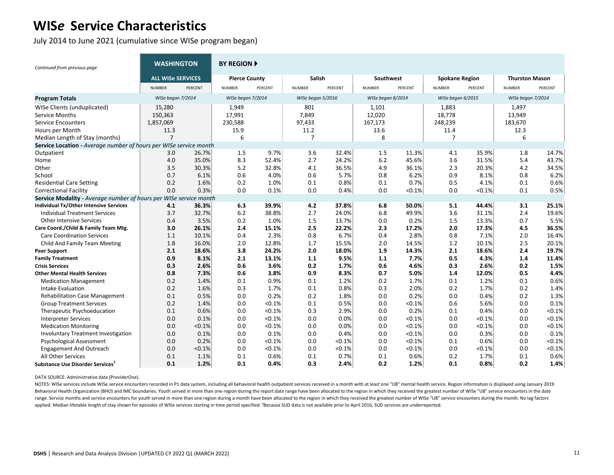July 2014 to June 2021 (cumulative since WISe program began)

| Continued from previous page                                      | <b>WASHINGTON</b>        |                    | <b>BY REGION A</b>   |         |                   |         |                   |         |                       |         |                       |         |
|-------------------------------------------------------------------|--------------------------|--------------------|----------------------|---------|-------------------|---------|-------------------|---------|-----------------------|---------|-----------------------|---------|
|                                                                   | <b>ALL WISe SERVICES</b> |                    | <b>Pierce County</b> |         | <b>Salish</b>     |         | Southwest         |         | <b>Spokane Region</b> |         | <b>Thurston Mason</b> |         |
|                                                                   | <b>NUMBER</b>            | PERCENT            | <b>NUMBER</b>        | PERCENT | <b>NUMBER</b>     | PERCENT | <b>NUMBER</b>     | PERCENT | <b>NUMBER</b>         | PERCENT | <b>NUMBER</b>         | PERCENT |
| <b>Program Totals</b>                                             | WISe began 7/2014        |                    | WISe began 7/2014    |         | WISe began 5/2016 |         | WISe began 8/2014 |         | WISe began 6/2015     |         | WISe began 7/2014     |         |
| WISe Clients (unduplicated)                                       | 15,280                   |                    | 1,949                |         | 801               |         | 1,101             |         | 1,883                 |         | 1,497                 |         |
| Service Months                                                    | 150,363                  |                    | 17,991               |         | 7,849             |         | 12,020            |         | 18,778                |         | 13,949                |         |
| <b>Service Encounters</b>                                         | 1,857,069                |                    | 230,588              |         | 97,433            |         | 167,173           |         | 248,239               |         | 183,670               |         |
| Hours per Month                                                   | 11.3                     |                    | 15.9                 |         | 11.2              |         | 13.6              |         | 11.4                  |         | 12.3                  |         |
| Median Length of Stay (months)                                    | $\overline{7}$           |                    | 6                    |         | 7                 |         | 8                 |         | 7                     |         | 6                     |         |
| Service Location - Average number of hours per WISe service month |                          |                    |                      |         |                   |         |                   |         |                       |         |                       |         |
| Outpatient                                                        | 3.0                      | 26.7%              | 1.5                  | 9.7%    | 3.6               | 32.4%   | 1.5               | 11.3%   | 4.1                   | 35.9%   | 1.8                   | 14.7%   |
| Home                                                              | 4.0                      | 35.0%              | 8.3                  | 52.4%   | 2.7               | 24.2%   | 6.2               | 45.6%   | 3.6                   | 31.5%   | 5.4                   | 43.7%   |
| Other                                                             | 3.5                      | 30.3%              | 5.2                  | 32.8%   | 4.1               | 36.5%   | 4.9               | 36.1%   | 2.3                   | 20.3%   | 4.2                   | 34.5%   |
| School                                                            | 0.7                      | 6.1%               | 0.6                  | 4.0%    | 0.6               | 5.7%    | 0.8               | 6.2%    | 0.9                   | 8.1%    | 0.8                   | 6.2%    |
| <b>Residential Care Setting</b>                                   | 0.2                      | 1.6%               | 0.2                  | 1.0%    | 0.1               | 0.8%    | 0.1               | 0.7%    | 0.5                   | 4.1%    | 0.1                   | 0.6%    |
| <b>Correctional Facility</b>                                      | 0.0                      | 0.3%               | 0.0                  | 0.1%    | 0.0               | 0.4%    | 0.0               | < 0.1%  | 0.0                   | < 0.1%  | 0.1                   | 0.5%    |
| Service Modality - Average number of hours per                    |                          | WISe service month |                      |         |                   |         |                   |         |                       |         |                       |         |
| <b>Individual Tx/Other Intensive Services</b>                     | 4.1                      | 36.3%              | 6.3                  | 39.9%   | 4.2               | 37.8%   | 6.8               | 50.0%   | 5.1                   | 44.4%   | 3.1                   | 25.1%   |
| <b>Individual Treatment Services</b>                              | 3.7                      | 32.7%              | 6.2                  | 38.8%   | 2.7               | 24.0%   | 6.8               | 49.9%   | 3.6                   | 31.1%   | 2.4                   | 19.6%   |
| <b>Other Intensive Services</b>                                   | 0.4                      | 3.5%               | 0.2                  | 1.0%    | 1.5               | 13.7%   | 0.0               | 0.2%    | 1.5                   | 13.3%   | 0.7                   | 5.5%    |
| Care Coord./Child & Family Team Mtg.                              | 3.0                      | 26.1%              | 2.4                  | 15.1%   | 2.5               | 22.2%   | 2.3               | 17.2%   | 2.0                   | 17.3%   | 4.5                   | 36.5%   |
| <b>Care Coordination Services</b>                                 | 1.1                      | 10.1%              | 0.4                  | 2.3%    | 0.8               | 6.7%    | 0.4               | 2.8%    | 0.8                   | 7.1%    | 2.0                   | 16.4%   |
| Child And Family Team Meeting                                     | 1.8                      | 16.0%              | 2.0                  | 12.8%   | 1.7               | 15.5%   | 2.0               | 14.5%   | 1.2                   | 10.1%   | 2.5                   | 20.1%   |
| <b>Peer Support</b>                                               | 2.1                      | 18.6%              | 3.8                  | 24.2%   | 2.0               | 18.0%   | 1.9               | 14.3%   | 2.1                   | 18.6%   | 2.4                   | 19.7%   |
| <b>Family Treatment</b>                                           | 0.9                      | 8.1%               | 2.1                  | 13.1%   | 1.1               | 9.5%    | 1.1               | 7.7%    | 0.5                   | 4.3%    | 1.4                   | 11.4%   |
| <b>Crisis Services</b>                                            | 0.3                      | 2.6%               | 0.6                  | 3.6%    | 0.2               | 1.7%    | 0.6               | 4.6%    | 0.3                   | 2.6%    | 0.2                   | 1.5%    |
| <b>Other Mental Health Services</b>                               | 0.8                      | 7.3%               | 0.6                  | 3.8%    | 0.9               | 8.3%    | 0.7               | 5.0%    | 1.4                   | 12.0%   | 0.5                   | 4.4%    |
| <b>Medication Management</b>                                      | 0.2                      | 1.4%               | 0.1                  | 0.9%    | 0.1               | 1.2%    | 0.2               | 1.7%    | 0.1                   | 1.2%    | 0.1                   | 0.6%    |
| Intake Evaluation                                                 | 0.2                      | 1.6%               | 0.3                  | 1.7%    | 0.1               | 0.8%    | 0.3               | 2.0%    | 0.2                   | 1.7%    | 0.2                   | 1.4%    |
| <b>Rehabilitation Case Management</b>                             | 0.1                      | 0.5%               | 0.0                  | 0.2%    | 0.2               | 1.8%    | 0.0               | 0.2%    | 0.0                   | 0.4%    | 0.2                   | 1.3%    |
| <b>Group Treatment Services</b>                                   | 0.2                      | 1.4%               | 0.0                  | < 0.1%  | 0.1               | 0.5%    | 0.0               | < 0.1%  | 0.6                   | 5.6%    | 0.0                   | 0.1%    |
| Therapeutic Psychoeducation                                       | 0.1                      | 0.6%               | 0.0                  | < 0.1%  | 0.3               | 2.9%    | 0.0               | 0.2%    | 0.1                   | 0.4%    | 0.0                   | < 0.1%  |
| <b>Interpreter Services</b>                                       | 0.0                      | 0.1%               | 0.0                  | < 0.1%  | 0.0               | 0.0%    | 0.0               | < 0.1%  | 0.0                   | < 0.1%  | 0.0                   | < 0.1%  |
| <b>Medication Monitoring</b>                                      | 0.0                      | < 0.1%             | 0.0                  | < 0.1%  | 0.0               | 0.0%    | 0.0               | < 0.1%  | 0.0                   | < 0.1%  | 0.0                   | < 0.1%  |
| <b>Involuntary Treatment Investigation</b>                        | 0.0                      | 0.1%               | 0.0                  | 0.1%    | 0.0               | 0.4%    | 0.0               | < 0.1%  | 0.0                   | 0.3%    | 0.0                   | 0.1%    |
| <b>Psychological Assessment</b>                                   | 0.0                      | 0.2%               | 0.0                  | < 0.1%  | 0.0               | < 0.1%  | 0.0               | < 0.1%  | 0.1                   | 0.6%    | 0.0                   | < 0.1%  |
| <b>Engagement And Outreach</b>                                    | 0.0                      | < 0.1%             | 0.0                  | < 0.1%  | 0.0               | < 0.1%  | 0.0               | < 0.1%  | 0.0                   | < 0.1%  | 0.0                   | < 0.1%  |
| All Other Services                                                | 0.1                      | 1.1%               | 0.1                  | 0.6%    | 0.1               | 0.7%    | 0.1               | 0.6%    | 0.2                   | 1.7%    | 0.1                   | 0.6%    |
| Substance Use Disorder Services <sup>+</sup>                      | 0.1                      | 1.2%               | 0.1                  | 0.4%    | 0.3               | 2.4%    | 0.2               | 1.2%    | 0.1                   | 0.8%    | 0.2                   | 1.4%    |

DATA SOURCE: Administrative data (ProviderOne).

NOTES: WISe services include WISe service encounters recorded in P1 data system, including all behavioral health outpatient services received in a month with at least one "U8" mental health service. Region information is d Behavioral Health Organization (BHO) and IMC boundaries. Youth served in more than one region during the report date range have been allocated to the region in which they received the greatest number of WISe "U8" service e range. Service months and service encounters for youth served in more than one region during a month have been allocated to the region in which they received the greatest number of WISe "U8" service encounters during the m applied. Median lifetable length of stay shown for episodes of WISe services starting in time period specified. 'Because SUD data is not available prior to April 2016, SUD services are underreported.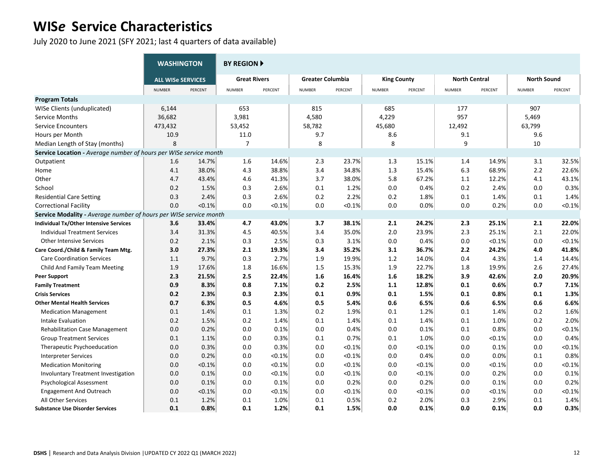July 2020 to June 2021 (SFY 2021; last 4 quarters of data available)

|                                                                   | <b>WASHINGTON</b>        |         | <b>BY REGION F</b>  |         |                         |           |                    |         |                      |         |                    |         |
|-------------------------------------------------------------------|--------------------------|---------|---------------------|---------|-------------------------|-----------|--------------------|---------|----------------------|---------|--------------------|---------|
|                                                                   | <b>ALL WISe SERVICES</b> |         | <b>Great Rivers</b> |         | <b>Greater Columbia</b> |           | <b>King County</b> |         | <b>North Central</b> |         | <b>North Sound</b> |         |
|                                                                   | <b>NUMBER</b>            | PERCENT | <b>NUMBER</b>       | PERCENT | <b>NUMBER</b>           | PERCENT   | <b>NUMBER</b>      | PERCENT | <b>NUMBER</b>        | PERCENT | <b>NUMBER</b>      | PERCENT |
| <b>Program Totals</b>                                             |                          |         |                     |         |                         |           |                    |         |                      |         |                    |         |
| WISe Clients (unduplicated)                                       | 6,144                    |         | 653                 |         | 815                     |           | 685                |         | 177                  |         | 907                |         |
| Service Months                                                    | 36,682                   |         | 3,981               |         | 4,580                   |           | 4,229              |         | 957                  |         | 5,469              |         |
| <b>Service Encounters</b>                                         | 473,432                  |         | 53,452              |         | 58,782                  |           | 45,680             |         | 12,492               |         | 63,799             |         |
| Hours per Month                                                   | 10.9                     |         | 11.0                |         | 9.7                     |           | 8.6                |         | 9.1                  |         | 9.6                |         |
| Median Length of Stay (months)                                    | 8                        |         | $\overline{7}$      |         | 8                       |           | 8                  |         | 9                    |         | 10                 |         |
| Service Location - Average number of hours per WISe service month |                          |         |                     |         |                         |           |                    |         |                      |         |                    |         |
| Outpatient                                                        | 1.6                      | 14.7%   | 1.6                 | 14.6%   | 2.3                     | 23.7%     | 1.3                | 15.1%   | 1.4                  | 14.9%   | 3.1                | 32.5%   |
| Home                                                              | 4.1                      | 38.0%   | 4.3                 | 38.8%   | 3.4                     | 34.8%     | 1.3                | 15.4%   | 6.3                  | 68.9%   | 2.2                | 22.6%   |
| Other                                                             | 4.7                      | 43.4%   | 4.6                 | 41.3%   | 3.7                     | 38.0%     | 5.8                | 67.2%   | 1.1                  | 12.2%   | 4.1                | 43.1%   |
| School                                                            | 0.2                      | 1.5%    | 0.3                 | 2.6%    | 0.1                     | 1.2%      | 0.0                | 0.4%    | 0.2                  | 2.4%    | 0.0                | 0.3%    |
| <b>Residential Care Setting</b>                                   | 0.3                      | 2.4%    | 0.3                 | 2.6%    | 0.2                     | 2.2%      | 0.2                | 1.8%    | 0.1                  | 1.4%    | 0.1                | 1.4%    |
| <b>Correctional Facility</b>                                      | 0.0                      | < 0.1%  | 0.0                 | < 0.1%  | 0.0                     | < 0.1%    | 0.0                | 0.0%    | 0.0                  | 0.2%    | 0.0                | < 0.1%  |
| Service Modality - Average number of hours per WISe service month |                          |         |                     |         |                         |           |                    |         |                      |         |                    |         |
| <b>Individual Tx/Other Intensive Services</b>                     | 3.6                      | 33.4%   | 4.7                 | 43.0%   | 3.7                     | 38.1%     | 2.1                | 24.2%   | 2.3                  | 25.1%   | 2.1                | 22.0%   |
| <b>Individual Treatment Services</b>                              | 3.4                      | 31.3%   | 4.5                 | 40.5%   | 3.4                     | 35.0%     | 2.0                | 23.9%   | 2.3                  | 25.1%   | 2.1                | 22.0%   |
| <b>Other Intensive Services</b>                                   | 0.2                      | 2.1%    | 0.3                 | 2.5%    | 0.3                     | 3.1%      | 0.0                | 0.4%    | 0.0                  | < 0.1%  | 0.0                | < 0.1%  |
| Care Coord./Child & Family Team Mtg.                              | 3.0                      | 27.3%   | 2.1                 | 19.3%   | 3.4                     | 35.2%     | 3.1                | 36.7%   | 2.2                  | 24.2%   | 4.0                | 41.8%   |
| <b>Care Coordination Services</b>                                 | 1.1                      | 9.7%    | 0.3                 | 2.7%    | 1.9                     | 19.9%     | 1.2                | 14.0%   | 0.4                  | 4.3%    | 1.4                | 14.4%   |
| Child And Family Team Meeting                                     | 1.9                      | 17.6%   | 1.8                 | 16.6%   | 1.5                     | 15.3%     | 1.9                | 22.7%   | 1.8                  | 19.9%   | 2.6                | 27.4%   |
| <b>Peer Support</b>                                               | 2.3                      | 21.5%   | 2.5                 | 22.4%   | 1.6                     | 16.4%     | 1.6                | 18.2%   | 3.9                  | 42.6%   | 2.0                | 20.9%   |
| <b>Family Treatment</b>                                           | 0.9                      | 8.3%    | 0.8                 | 7.1%    | 0.2                     | 2.5%      | 1.1                | 12.8%   | 0.1                  | 0.6%    | 0.7                | 7.1%    |
| <b>Crisis Services</b>                                            | 0.2                      | 2.3%    | 0.3                 | 2.3%    | 0.1                     | 0.9%      | 0.1                | 1.5%    | 0.1                  | 0.8%    | 0.1                | 1.3%    |
| <b>Other Mental Health Services</b>                               | 0.7                      | 6.3%    | 0.5                 | 4.6%    | 0.5                     | 5.4%      | 0.6                | 6.5%    | 0.6                  | 6.5%    | 0.6                | 6.6%    |
| <b>Medication Management</b>                                      | 0.1                      | 1.4%    | 0.1                 | 1.3%    | 0.2                     | 1.9%      | 0.1                | 1.2%    | 0.1                  | 1.4%    | 0.2                | 1.6%    |
| Intake Evaluation                                                 | 0.2                      | 1.5%    | 0.2                 | 1.4%    | 0.1                     | 1.4%      | 0.1                | 1.4%    | 0.1                  | 1.0%    | 0.2                | 2.0%    |
| <b>Rehabilitation Case Management</b>                             | 0.0                      | 0.2%    | 0.0                 | 0.1%    | 0.0                     | 0.4%      | 0.0                | 0.1%    | 0.1                  | 0.8%    | 0.0                | < 0.1%  |
| <b>Group Treatment Services</b>                                   | 0.1                      | 1.1%    | 0.0                 | 0.3%    | 0.1                     | 0.7%      | 0.1                | 1.0%    | 0.0                  | < 0.1%  | 0.0                | 0.4%    |
| Therapeutic Psychoeducation                                       | 0.0                      | 0.3%    | 0.0                 | 0.3%    | 0.0                     | < 0.1%    | 0.0                | < 0.1%  | 0.0                  | 0.1%    | 0.0                | < 0.1%  |
| <b>Interpreter Services</b>                                       | 0.0                      | 0.2%    | 0.0                 | < 0.1%  | 0.0                     | < 0.1%    | 0.0                | 0.4%    | 0.0                  | 0.0%    | 0.1                | 0.8%    |
| <b>Medication Monitoring</b>                                      | 0.0                      | < 0.1%  | 0.0                 | < 0.1%  | 0.0                     | $< 0.1\%$ | 0.0                | < 0.1%  | 0.0                  | < 0.1%  | 0.0                | < 0.1%  |
| Involuntary Treatment Investigation                               | 0.0                      | 0.1%    | 0.0                 | < 0.1%  | 0.0                     | < 0.1%    | 0.0                | < 0.1%  | 0.0                  | 0.2%    | 0.0                | 0.1%    |
| <b>Psychological Assessment</b>                                   | 0.0                      | 0.1%    | 0.0                 | 0.1%    | 0.0                     | 0.2%      | 0.0                | 0.2%    | 0.0                  | 0.1%    | 0.0                | 0.2%    |
| <b>Engagement And Outreach</b>                                    | 0.0                      | < 0.1%  | 0.0                 | < 0.1%  | 0.0                     | < 0.1%    | 0.0                | < 0.1%  | 0.0                  | < 0.1%  | 0.0                | < 0.1%  |
| All Other Services                                                | 0.1                      | 1.2%    | 0.1                 | 1.0%    | 0.1                     | 0.5%      | 0.2                | 2.0%    | 0.3                  | 2.9%    | 0.1                | 1.4%    |
| <b>Substance Use Disorder Services</b>                            | 0.1                      | 0.8%    | 0.1                 | 1.2%    | 0.1                     | 1.5%      | 0.0                | 0.1%    | 0.0                  | 0.1%    | 0.0                | 0.3%    |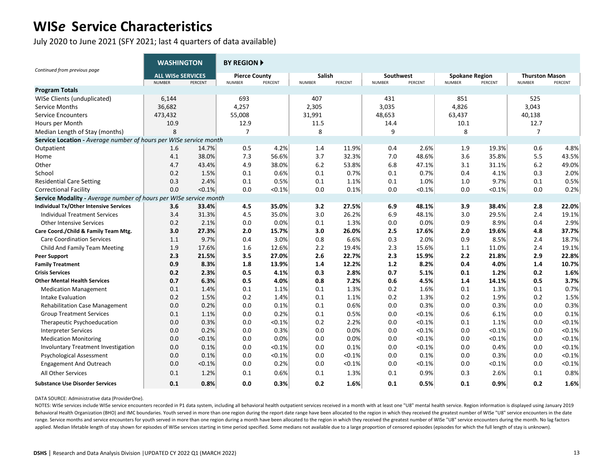July 2020 to June 2021 (SFY 2021; last 4 quarters of data available)

|                                                                   | <b>WASHINGTON</b>                         |         | <b>BY REGION ▶</b>                    |         |                         |         |                            |         |                                        |           |                                        |         |
|-------------------------------------------------------------------|-------------------------------------------|---------|---------------------------------------|---------|-------------------------|---------|----------------------------|---------|----------------------------------------|-----------|----------------------------------------|---------|
| Continued from previous page                                      | <b>ALL WISe SERVICES</b><br><b>NUMBER</b> | PERCENT | <b>Pierce County</b><br><b>NUMBER</b> | PERCENT | Salish<br><b>NUMBER</b> | PERCENT | Southwest<br><b>NUMBER</b> | PERCENT | <b>Spokane Region</b><br><b>NUMBER</b> | PERCENT   | <b>Thurston Mason</b><br><b>NUMBER</b> | PERCENT |
| <b>Program Totals</b>                                             |                                           |         |                                       |         |                         |         |                            |         |                                        |           |                                        |         |
| WISe Clients (unduplicated)                                       | 6,144                                     |         | 693                                   |         | 407                     |         | 431                        |         | 851                                    |           | 525                                    |         |
| Service Months                                                    | 36,682                                    |         | 4,257                                 |         | 2,305                   |         | 3,035                      |         | 4,826                                  |           | 3,043                                  |         |
| <b>Service Encounters</b>                                         | 473,432                                   |         | 55,008                                |         | 31,991                  |         | 48,653                     |         | 63,437                                 |           | 40,138                                 |         |
| Hours per Month                                                   | 10.9                                      |         | 12.9                                  |         | 11.5                    |         | 14.4                       |         | 10.1                                   |           | 12.7                                   |         |
| Median Length of Stay (months)                                    | 8                                         |         | $\overline{7}$                        |         | 8                       |         | 9                          |         | 8                                      |           | 7                                      |         |
| Service Location - Average number of hours per WISe service month |                                           |         |                                       |         |                         |         |                            |         |                                        |           |                                        |         |
| Outpatient                                                        | 1.6                                       | 14.7%   | 0.5                                   | 4.2%    | 1.4                     | 11.9%   | 0.4                        | 2.6%    | 1.9                                    | 19.3%     | 0.6                                    | 4.8%    |
| Home                                                              | 4.1                                       | 38.0%   | 7.3                                   | 56.6%   | 3.7                     | 32.3%   | 7.0                        | 48.6%   | 3.6                                    | 35.8%     | 5.5                                    | 43.5%   |
| Other                                                             | 4.7                                       | 43.4%   | 4.9                                   | 38.0%   | 6.2                     | 53.8%   | 6.8                        | 47.1%   | 3.1                                    | 31.1%     | 6.2                                    | 49.0%   |
| School                                                            | 0.2                                       | 1.5%    | 0.1                                   | 0.6%    | 0.1                     | 0.7%    | 0.1                        | 0.7%    | 0.4                                    | 4.1%      | 0.3                                    | 2.0%    |
| <b>Residential Care Setting</b>                                   | 0.3                                       | 2.4%    | 0.1                                   | 0.5%    | 0.1                     | 1.1%    | 0.1                        | 1.0%    | 1.0                                    | 9.7%      | 0.1                                    | 0.5%    |
| <b>Correctional Facility</b>                                      | 0.0                                       | < 0.1%  | 0.0                                   | < 0.1%  | 0.0                     | 0.1%    | 0.0                        | < 0.1%  | 0.0                                    | $< 0.1\%$ | 0.0                                    | 0.2%    |
| Service Modality - Average number of hours per WISe service month |                                           |         |                                       |         |                         |         |                            |         |                                        |           |                                        |         |
| Individual Tx/Other Intensive Services                            | 3.6                                       | 33.4%   | 4.5                                   | 35.0%   | 3.2                     | 27.5%   | 6.9                        | 48.1%   | 3.9                                    | 38.4%     | 2.8                                    | 22.0%   |
| <b>Individual Treatment Services</b>                              | 3.4                                       | 31.3%   | 4.5                                   | 35.0%   | 3.0                     | 26.2%   | 6.9                        | 48.1%   | 3.0                                    | 29.5%     | 2.4                                    | 19.1%   |
| <b>Other Intensive Services</b>                                   | 0.2                                       | 2.1%    | 0.0                                   | 0.0%    | 0.1                     | 1.3%    | 0.0                        | 0.0%    | 0.9                                    | 8.9%      | 0.4                                    | 2.9%    |
| Care Coord./Child & Family Team Mtg.                              | 3.0                                       | 27.3%   | 2.0                                   | 15.7%   | 3.0                     | 26.0%   | 2.5                        | 17.6%   | 2.0                                    | 19.6%     | 4.8                                    | 37.7%   |
| <b>Care Coordination Services</b>                                 | 1.1                                       | 9.7%    | 0.4                                   | 3.0%    | 0.8                     | 6.6%    | 0.3                        | 2.0%    | 0.9                                    | 8.5%      | 2.4                                    | 18.7%   |
| Child And Family Team Meeting                                     | 1.9                                       | 17.6%   | 1.6                                   | 12.6%   | 2.2                     | 19.4%   | 2.3                        | 15.6%   | 1.1                                    | 11.0%     | 2.4                                    | 19.1%   |
| <b>Peer Support</b>                                               | 2.3                                       | 21.5%   | 3.5                                   | 27.0%   | 2.6                     | 22.7%   | 2.3                        | 15.9%   | 2.2                                    | 21.8%     | 2.9                                    | 22.8%   |
| <b>Family Treatment</b>                                           | 0.9                                       | 8.3%    | 1.8                                   | 13.9%   | 1.4                     | 12.2%   | 1.2                        | 8.2%    | 0.4                                    | 4.0%      | 1.4                                    | 10.7%   |
| <b>Crisis Services</b>                                            | 0.2                                       | 2.3%    | 0.5                                   | 4.1%    | 0.3                     | 2.8%    | 0.7                        | 5.1%    | 0.1                                    | 1.2%      | 0.2                                    | 1.6%    |
| <b>Other Mental Health Services</b>                               | 0.7                                       | 6.3%    | 0.5                                   | 4.0%    | 0.8                     | 7.2%    | 0.6                        | 4.5%    | 1.4                                    | 14.1%     | 0.5                                    | 3.7%    |
| <b>Medication Management</b>                                      | 0.1                                       | 1.4%    | 0.1                                   | 1.1%    | 0.1                     | 1.3%    | 0.2                        | 1.6%    | 0.1                                    | 1.3%      | 0.1                                    | 0.7%    |
| Intake Evaluation                                                 | 0.2                                       | 1.5%    | 0.2                                   | 1.4%    | 0.1                     | 1.1%    | 0.2                        | 1.3%    | 0.2                                    | 1.9%      | 0.2                                    | 1.5%    |
| <b>Rehabilitation Case Management</b>                             | 0.0                                       | 0.2%    | 0.0                                   | 0.1%    | 0.1                     | 0.6%    | 0.0                        | 0.3%    | 0.0                                    | 0.3%      | 0.0                                    | 0.3%    |
| <b>Group Treatment Services</b>                                   | 0.1                                       | 1.1%    | 0.0                                   | 0.2%    | 0.1                     | 0.5%    | 0.0                        | < 0.1%  | 0.6                                    | 6.1%      | 0.0                                    | 0.1%    |
| Therapeutic Psychoeducation                                       | 0.0                                       | 0.3%    | 0.0                                   | < 0.1%  | 0.2                     | 2.2%    | 0.0                        | < 0.1%  | 0.1                                    | 1.1%      | 0.0                                    | < 0.1%  |
| <b>Interpreter Services</b>                                       | 0.0                                       | 0.2%    | 0.0                                   | 0.3%    | 0.0                     | 0.0%    | 0.0                        | < 0.1%  | 0.0                                    | < 0.1%    | 0.0                                    | < 0.1%  |
| <b>Medication Monitoring</b>                                      | 0.0                                       | < 0.1%  | 0.0                                   | 0.0%    | 0.0                     | 0.0%    | 0.0                        | < 0.1%  | 0.0                                    | < 0.1%    | 0.0                                    | < 0.1%  |
| <b>Involuntary Treatment Investigation</b>                        | 0.0                                       | 0.1%    | 0.0                                   | < 0.1%  | 0.0                     | 0.1%    | 0.0                        | < 0.1%  | 0.0                                    | 0.4%      | 0.0                                    | < 0.1%  |
| <b>Psychological Assessment</b>                                   | 0.0                                       | 0.1%    | 0.0                                   | < 0.1%  | 0.0                     | < 0.1%  | 0.0                        | 0.1%    | 0.0                                    | 0.3%      | 0.0                                    | < 0.1%  |
| <b>Engagement And Outreach</b>                                    | 0.0                                       | < 0.1%  | 0.0                                   | 0.2%    | 0.0                     | < 0.1%  | 0.0                        | <0.1%   | 0.0                                    | < 0.1%    | 0.0                                    | < 0.1%  |
| All Other Services                                                | 0.1                                       | 1.2%    | 0.1                                   | 0.6%    | 0.1                     | 1.3%    | 0.1                        | 0.9%    | 0.3                                    | 2.6%      | 0.1                                    | 0.8%    |
| <b>Substance Use Disorder Services</b>                            | 0.1                                       | 0.8%    | 0.0                                   | 0.3%    | 0.2                     | 1.6%    | 0.1                        | 0.5%    | 0.1                                    | 0.9%      | 0.2                                    | 1.6%    |

#### DATA SOURCE: Administrative data (ProviderOne).

NOTES: WISe services include WISe service encounters recorded in P1 data system, including all behavioral health outpatient services received in a month with at least one "U8" mental health service. Region information is d Behavioral Health Organization (BHO) and IMC boundaries. Youth served in more than one region during the report date range have been allocated to the region in which they received the greatest number of WISe "U8" service e range. Service months and service encounters for youth served in more than one region during a month have been allocated to the region in which they received the greatest number of WISe "U8" service encounters during the m applied. Median lifetable length of stay shown for episodes of WISe services starting in time period specified. Some medians not available due to a large proportion of censored episodes (episodes for which the full length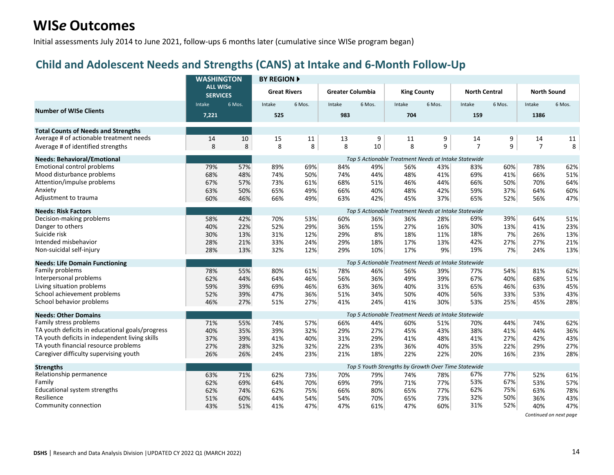Initial assessments July 2014 to June 2021, follow-ups 6 months later (cumulative since WISe program began)

### **Child and Adolescent Needs and Strengths (CANS) at Intake and 6-Month Follow-Up**

|                                                 | <b>WASHINGTON</b><br><b>ALL WISe</b><br><b>SERVICES</b> |                                                      | <b>BY REGION A</b>  |        |                         |        |                                                      |        |                      |        |                    |        |  |  |  |
|-------------------------------------------------|---------------------------------------------------------|------------------------------------------------------|---------------------|--------|-------------------------|--------|------------------------------------------------------|--------|----------------------|--------|--------------------|--------|--|--|--|
|                                                 |                                                         |                                                      | <b>Great Rivers</b> |        | <b>Greater Columbia</b> |        | <b>King County</b>                                   |        | <b>North Central</b> |        | <b>North Sound</b> |        |  |  |  |
|                                                 | Intake                                                  | 6 Mos.                                               | Intake              | 6 Mos. | Intake                  | 6 Mos. | Intake                                               | 6 Mos. | Intake               | 6 Mos. | Intake             | 6 Mos. |  |  |  |
| <b>Number of WISe Clients</b>                   | 7,221                                                   |                                                      | 525                 |        | 983                     |        | 704                                                  |        | 159                  |        | 1386               |        |  |  |  |
| <b>Total Counts of Needs and Strengths</b>      |                                                         |                                                      |                     |        |                         |        |                                                      |        |                      |        |                    |        |  |  |  |
| Average # of actionable treatment needs         | 14                                                      | 10                                                   | 15                  | 11     | 13                      | 9      | 11                                                   | 9      | 14                   | 9      | 14                 | 11     |  |  |  |
| Average # of identified strengths               | 8                                                       | 8                                                    | 8                   | 8      | 8                       | 10     | 8                                                    | 9      | $\overline{7}$       | 9      | $\overline{7}$     | 8      |  |  |  |
| <b>Needs: Behavioral/Emotional</b>              |                                                         | Top 5 Actionable Treatment Needs at Intake Statewide |                     |        |                         |        |                                                      |        |                      |        |                    |        |  |  |  |
| Emotional control problems                      | 79%                                                     | 57%                                                  | 89%                 | 69%    | 84%                     | 49%    | 56%                                                  | 43%    | 83%                  | 60%    | 78%                | 62%    |  |  |  |
| Mood disturbance problems                       | 68%                                                     | 48%                                                  | 74%                 | 50%    | 74%                     | 44%    | 48%                                                  | 41%    | 69%                  | 41%    | 66%                | 51%    |  |  |  |
| Attention/impulse problems                      | 67%                                                     | 57%                                                  | 73%                 | 61%    | 68%                     | 51%    | 46%                                                  | 44%    | 66%                  | 50%    | 70%                | 64%    |  |  |  |
| Anxiety                                         | 63%                                                     | 50%                                                  | 65%                 | 49%    | 66%                     | 40%    | 48%                                                  | 42%    | 59%                  | 37%    | 64%                | 60%    |  |  |  |
| Adjustment to trauma                            | 60%                                                     | 46%                                                  | 66%                 | 49%    | 63%                     | 42%    | 45%                                                  | 37%    | 65%                  | 52%    | 56%                | 47%    |  |  |  |
| <b>Needs: Risk Factors</b>                      |                                                         |                                                      |                     |        |                         |        | Top 5 Actionable Treatment Needs at Intake Statewide |        |                      |        |                    |        |  |  |  |
| Decision-making problems                        | 58%                                                     | 42%                                                  | 70%                 | 53%    | 60%                     | 36%    | 36%                                                  | 28%    | 69%                  | 39%    | 64%                | 51%    |  |  |  |
| Danger to others                                | 40%                                                     | 22%                                                  | 52%                 | 29%    | 36%                     | 15%    | 27%                                                  | 16%    | 30%                  | 13%    | 41%                | 23%    |  |  |  |
| Suicide risk                                    | 30%                                                     | 13%                                                  | 31%                 | 12%    | 29%                     | 8%     | 18%                                                  | 11%    | 18%                  | 7%     | 26%                | 13%    |  |  |  |
| Intended misbehavior                            | 28%                                                     | 21%                                                  | 33%                 | 24%    | 29%                     | 18%    | 17%                                                  | 13%    | 42%                  | 27%    | 27%                | 21%    |  |  |  |
| Non-suicidal self-injury                        | 28%                                                     | 13%                                                  | 32%                 | 12%    | 29%                     | 10%    | 17%                                                  | 9%     | 19%                  | 7%     | 24%                | 13%    |  |  |  |
| <b>Needs: Life Domain Functioning</b>           |                                                         |                                                      |                     |        |                         |        | Top 5 Actionable Treatment Needs at Intake Statewide |        |                      |        |                    |        |  |  |  |
| Family problems                                 | 78%                                                     | 55%                                                  | 80%                 | 61%    | 78%                     | 46%    | 56%                                                  | 39%    | 77%                  | 54%    | 81%                | 62%    |  |  |  |
| Interpersonal problems                          | 62%                                                     | 44%                                                  | 64%                 | 46%    | 56%                     | 36%    | 49%                                                  | 39%    | 67%                  | 40%    | 68%                | 51%    |  |  |  |
| Living situation problems                       | 59%                                                     | 39%                                                  | 69%                 | 46%    | 63%                     | 36%    | 40%                                                  | 31%    | 65%                  | 46%    | 63%                | 45%    |  |  |  |
| School achievement problems                     | 52%                                                     | 39%                                                  | 47%                 | 36%    | 51%                     | 34%    | 50%                                                  | 40%    | 56%                  | 33%    | 53%                | 43%    |  |  |  |
| School behavior problems                        | 46%                                                     | 27%                                                  | 51%                 | 27%    | 41%                     | 24%    | 41%                                                  | 30%    | 53%                  | 25%    | 45%                | 28%    |  |  |  |
| <b>Needs: Other Domains</b>                     |                                                         |                                                      |                     |        |                         |        | Top 5 Actionable Treatment Needs at Intake Statewide |        |                      |        |                    |        |  |  |  |
| Family stress problems                          | 71%                                                     | 55%                                                  | 74%                 | 57%    | 66%                     | 44%    | 60%                                                  | 51%    | 70%                  | 44%    | 74%                | 62%    |  |  |  |
| TA youth deficits in educational goals/progress | 40%                                                     | 35%                                                  | 39%                 | 32%    | 29%                     | 27%    | 45%                                                  | 43%    | 38%                  | 41%    | 44%                | 36%    |  |  |  |
| TA youth deficits in independent living skills  | 37%                                                     | 39%                                                  | 41%                 | 40%    | 31%                     | 29%    | 41%                                                  | 48%    | 41%                  | 27%    | 42%                | 43%    |  |  |  |
| TA youth financial resource problems            | 27%                                                     | 28%                                                  | 32%                 | 32%    | 22%                     | 23%    | 36%                                                  | 40%    | 35%                  | 22%    | 29%                | 27%    |  |  |  |
| Caregiver difficulty supervising youth          | 26%                                                     | 26%                                                  | 24%                 | 23%    | 21%                     | 18%    | 22%                                                  | 22%    | 20%                  | 16%    | 23%                | 28%    |  |  |  |
| <b>Strengths</b>                                |                                                         |                                                      |                     |        |                         |        | Top 5 Youth Strengths by Growth Over Time Statewide  |        |                      |        |                    |        |  |  |  |
| Relationship permanence                         | 63%                                                     | 71%                                                  | 62%                 | 73%    | 70%                     | 79%    | 74%                                                  | 78%    | 67%                  | 77%    | 52%                | 61%    |  |  |  |
| Family                                          | 62%                                                     | 69%                                                  | 64%                 | 70%    | 69%                     | 79%    | 71%                                                  | 77%    | 53%                  | 67%    | 53%                | 57%    |  |  |  |
| Educational system strengths                    | 62%                                                     | 74%                                                  | 62%                 | 75%    | 66%                     | 80%    | 65%                                                  | 77%    | 62%                  | 75%    | 63%                | 78%    |  |  |  |
| Resilience                                      | 51%                                                     | 60%                                                  | 44%                 | 54%    | 54%                     | 70%    | 65%                                                  | 73%    | 32%                  | 50%    | 36%                | 43%    |  |  |  |
| Community connection                            | 43%                                                     | 51%                                                  | 41%                 | 47%    | 47%                     | 61%    | 47%                                                  | 60%    | 31%                  | 52%    | 40%                | 47%    |  |  |  |

*Continued on next page*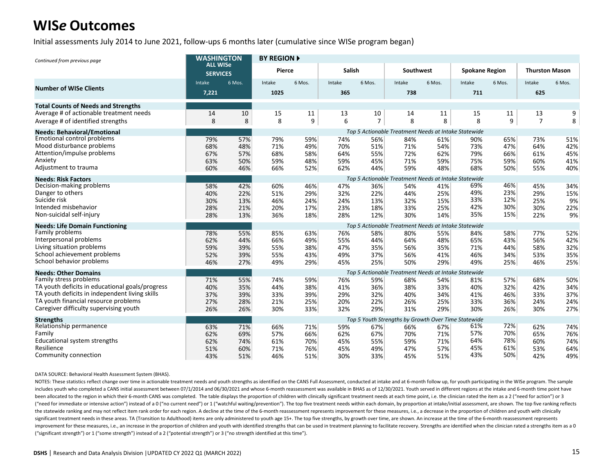Initial assessments July 2014 to June 2021, follow-ups 6 months later (cumulative since WISe program began)

| Continued from previous page                                   | <b>WASHINGTON</b><br><b>ALL WISe</b><br><b>SERVICES</b> |            | <b>BY REGION A</b> |            |               |                |                                                             |            |                       |            |                       |            |  |  |
|----------------------------------------------------------------|---------------------------------------------------------|------------|--------------------|------------|---------------|----------------|-------------------------------------------------------------|------------|-----------------------|------------|-----------------------|------------|--|--|
|                                                                |                                                         |            | <b>Pierce</b>      |            | Salish        |                | Southwest                                                   |            | <b>Spokane Region</b> |            | <b>Thurston Mason</b> |            |  |  |
| <b>Number of WISe Clients</b>                                  | Intake<br>7,221                                         | 6 Mos.     | Intake<br>1025     | 6 Mos.     | Intake<br>365 | 6 Mos.         | Intake<br>738                                               | 6 Mos.     | Intake<br>711         | 6 Mos.     | Intake<br>625         | 6 Mos.     |  |  |
| <b>Total Counts of Needs and Strengths</b>                     |                                                         |            |                    |            |               |                |                                                             |            |                       |            |                       |            |  |  |
| Average # of actionable treatment needs                        | 14                                                      | 10         | 15                 | 11         | 13            | 10             | 14                                                          | 11         | 15                    | 11         | 13                    | 9          |  |  |
| Average # of identified strengths                              | 8                                                       | 8          | 8                  | 9          | 6             | $\overline{7}$ | 8                                                           | 8          | 8                     | 9          | $\overline{7}$        | 8          |  |  |
| <b>Needs: Behavioral/Emotional</b>                             |                                                         |            |                    |            |               |                | Top 5 Actionable Treatment Needs at Intake Statewide        |            |                       |            |                       |            |  |  |
| <b>Emotional control problems</b><br>Mood disturbance problems | 79%                                                     | 57%        | 79%                | 59%        | 74%           | 56%            | 84%                                                         | 61%        | 90%                   | 65%        | 73%                   | 51%        |  |  |
| Attention/impulse problems                                     | 68%<br>67%                                              | 48%<br>57% | 71%<br>68%         | 49%<br>58% | 70%<br>64%    | 51%<br>55%     | 71%<br>72%                                                  | 54%<br>62% | 73%<br>79%            | 47%<br>66% | 64%<br>61%            | 42%<br>45% |  |  |
| Anxiety                                                        | 63%                                                     | 50%        | 59%                | 48%        | 59%           | 45%            | 71%                                                         | 59%        | 75%                   | 59%        | 60%                   | 41%        |  |  |
| Adjustment to trauma                                           | 60%                                                     | 46%        | 66%                | 52%        | 62%           | 44%            | 59%                                                         | 48%        | 68%                   | 50%        | 55%                   | 40%        |  |  |
| <b>Needs: Risk Factors</b>                                     |                                                         |            |                    |            |               |                | Top 5 Actionable Treatment Needs at Intake Statewide        |            |                       |            |                       |            |  |  |
| Decision-making problems                                       | 58%                                                     | 42%        | 60%                | 46%        | 47%           | 36%            | 54%                                                         | 41%        | 69%                   | 46%        | 45%                   | 34%        |  |  |
| Danger to others                                               | 40%                                                     | 22%        | 51%                | 29%        | 32%           | 22%            | 44%                                                         | 25%        | 49%                   | 23%        | 29%                   | 15%        |  |  |
| Suicide risk                                                   | 30%                                                     | 13%        | 46%                | 24%        | 24%           | 13%            | 32%                                                         | 15%        | 33%                   | 12%        | 25%                   | 9%         |  |  |
| Intended misbehavior                                           | 28%                                                     | 21%        | 20%                | 17%        | 23%           | 18%            | 33%                                                         | 25%        | 42%                   | 30%        | 30%                   | 22%        |  |  |
| Non-suicidal self-injury                                       | 28%                                                     | 13%        | 36%                | 18%        | 28%           | 12%            | 30%                                                         | 14%        | 35%                   | 15%        | 22%                   | 9%         |  |  |
| <b>Needs: Life Domain Functioning</b>                          |                                                         |            |                    |            |               |                | Top 5 Actionable Treatment Needs at Intake Statewide        |            |                       |            |                       |            |  |  |
| Family problems                                                | 78%                                                     | 55%        | 85%                | 63%        | 76%           | 58%            | 80%                                                         | 55%        | 84%                   | 58%        | 77%                   | 52%        |  |  |
| Interpersonal problems                                         | 62%                                                     | 44%        | 66%                | 49%        | 55%           | 44%            | 64%                                                         | 48%        | 65%                   | 43%        | 56%                   | 42%        |  |  |
| Living situation problems<br>School achievement problems       | 59%                                                     | 39%        | 55%                | 38%        | 47%           | 35%            | 56%                                                         | 35%        | 71%                   | 44%        | 58%                   | 32%        |  |  |
| School behavior problems                                       | 52%<br>46%                                              | 39%<br>27% | 55%<br>49%         | 43%<br>29% | 49%<br>45%    | 37%<br>25%     | 56%<br>50%                                                  | 41%<br>29% | 46%<br>49%            | 34%<br>25% | 53%<br>46%            | 35%<br>25% |  |  |
|                                                                |                                                         |            |                    |            |               |                |                                                             |            |                       |            |                       |            |  |  |
| <b>Needs: Other Domains</b><br>Family stress problems          | 71%                                                     | 55%        | 74%                | 59%        | 76%           | 59%            | Top 5 Actionable Treatment Needs at Intake Statewide<br>68% | 54%        | 81%                   | 57%        | 68%                   | 50%        |  |  |
| TA youth deficits in educational goals/progress                | 40%                                                     | 35%        | 44%                | 38%        | 41%           | 36%            | 38%                                                         | 33%        | 40%                   | 32%        | 42%                   | 34%        |  |  |
| TA youth deficits in independent living skills                 | 37%                                                     | 39%        | 33%                | 39%        | 29%           | 32%            | 40%                                                         | 34%        | 41%                   | 46%        | 33%                   | 37%        |  |  |
| TA youth financial resource problems                           | 27%                                                     | 28%        | 21%                | 25%        | 20%           | 22%            | 26%                                                         | 25%        | 33%                   | 36%        | 24%                   | 24%        |  |  |
| Caregiver difficulty supervising youth                         | 26%                                                     | 26%        | 30%                | 33%        | 32%           | 29%            | 31%                                                         | 29%        | 30%                   | 26%        | 30%                   | 27%        |  |  |
| <b>Strengths</b>                                               |                                                         |            |                    |            |               |                | Top 5 Youth Strengths by Growth Over Time Statewide         |            |                       |            |                       |            |  |  |
| Relationship permanence                                        | 63%                                                     | 71%        | 66%                | 71%        | 59%           | 67%            | 66%                                                         | 67%        | 61%                   | 72%        | 62%                   | 74%        |  |  |
| Family                                                         | 62%                                                     | 69%        | 57%                | 66%        | 62%           | 67%            | 70%                                                         | 71%        | 57%                   | 70%        | 65%                   | 76%        |  |  |
| Educational system strengths                                   | 62%                                                     | 74%        | 61%                | 70%        | 45%           | 55%            | 59%                                                         | 71%        | 64%                   | 78%        | 60%                   | 74%        |  |  |
| Resilience                                                     | 51%                                                     | 60%        | 71%                | 76%        | 45%           | 49%            | 47%                                                         | 57%        | 45%                   | 61%        | 53%                   | 64%        |  |  |
| Community connection                                           | 43%                                                     | 51%        | 46%                | 51%        | 30%           | 33%            | 45%                                                         | 51%        | 43%                   | 50%        | 42%                   | 49%        |  |  |

#### DATA SOURCE: Behavioral Health Assessment System (BHAS).

NOTES: These statistics reflect change over time in actionable treatment needs and youth strengths as identified on the CANS Full Assessment, conducted at intake and at 6-month follow up, for youth participating in the WIS includes youth who completed a CANS initial assessment between 07/1/2014 and 06/30/2021 and whose 6-month reassessment was available in BHAS as of 12/30/2021. Youth served in different regions at the intake and 6-month tim been allocated to the region in which their 6-month CANS was completed. The table displays the proportion of children with clinically significant treatment needs at each time point, i.e. the clinician rated the item as a 2 ("need for immediate or intensive action") instead of a 0 ("no current need") or 1 ("watchful waiting/prevention"). The top five treatment needs within each domain, by proportion at intake/initial assessment, are shown. Th the statewide ranking and may not reflect item rank order for each region. A decline at the time of the 6-month reassessment represents improvement for these measures, i.e., a decrease in the proportion of children and you significant treatment needs in these areas. TA (Transition to Adulthood) items are only administered to youth age 15+. The top five strengths, by growth over time, are shown. An increase at the time of the 6-month reassess improvement for these measures, i.e., an increase in the proportion of children and youth with identified strengths that can be used in treatment planning to facilitate recovery. Strengths are identified when the clinician ("significant strength") or 1 ("some strength") instead of a 2 ("potential strength") or 3 ("no strength identified at this time").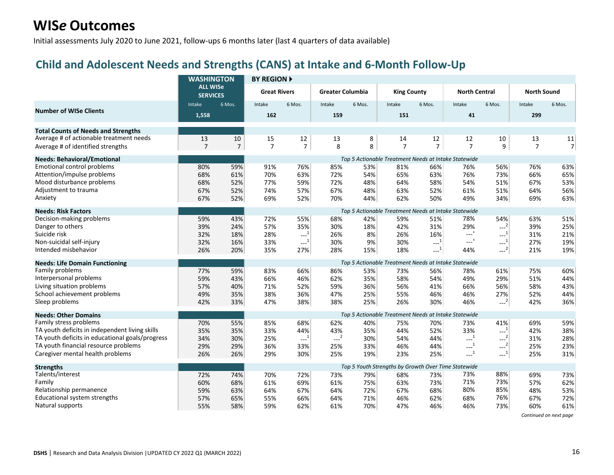Initial assessments July 2020 to June 2021, follow-ups 6 months later (last 4 quarters of data available)

### **Child and Adolescent Needs and Strengths (CANS) at Intake and 6-Month Follow-Up**

|                                                 | <b>WASHINGTON</b><br><b>ALL WISe</b><br><b>SERVICES</b> |                | <b>BY REGION A</b>  |                                                                       |                         |        |                    |                     |                                                      |                                                       |                    |                |  |  |
|-------------------------------------------------|---------------------------------------------------------|----------------|---------------------|-----------------------------------------------------------------------|-------------------------|--------|--------------------|---------------------|------------------------------------------------------|-------------------------------------------------------|--------------------|----------------|--|--|
|                                                 |                                                         |                | <b>Great Rivers</b> |                                                                       | <b>Greater Columbia</b> |        | <b>King County</b> |                     | <b>North Central</b>                                 |                                                       | <b>North Sound</b> |                |  |  |
| <b>Number of WISe Clients</b>                   | Intake                                                  | 6 Mos.         | Intake              | 6 Mos.                                                                | Intake                  | 6 Mos. | Intake             | 6 Mos.              | Intake                                               | 6 Mos.                                                | Intake             | 6 Mos.         |  |  |
|                                                 | 1,558                                                   |                | 162                 |                                                                       | 159                     |        | 151                |                     | 41                                                   |                                                       | 299                |                |  |  |
| <b>Total Counts of Needs and Strengths</b>      |                                                         |                |                     |                                                                       |                         |        |                    |                     |                                                      |                                                       |                    |                |  |  |
| Average # of actionable treatment needs         | 13                                                      | 10             | 15                  | 12                                                                    | 13                      | 8      | 14                 | 12                  | 12                                                   | 10                                                    | 13                 | 11             |  |  |
| Average # of identified strengths               | $\overline{7}$                                          | $\overline{7}$ | $\overline{7}$      | $\overline{7}$                                                        | 8                       | 8      | $\overline{7}$     | $\overline{7}$      | $\overline{7}$                                       | 9                                                     | $\overline{7}$     | $\overline{7}$ |  |  |
| <b>Needs: Behavioral/Emotional</b>              | Top 5 Actionable Treatment Needs at Intake Statewide    |                |                     |                                                                       |                         |        |                    |                     |                                                      |                                                       |                    |                |  |  |
| <b>Emotional control problems</b>               | 80%                                                     | 59%            | 91%                 | 76%                                                                   | 85%                     | 53%    | 81%                | 66%                 | 76%                                                  | 56%                                                   | 76%                | 63%            |  |  |
| Attention/impulse problems                      | 68%                                                     | 61%            | 70%                 | 63%                                                                   | 72%                     | 54%    | 65%                | 63%                 | 76%                                                  | 73%                                                   | 66%                | 65%            |  |  |
| Mood disturbance problems                       | 68%                                                     | 52%            | 77%                 | 59%                                                                   | 72%                     | 48%    | 64%                | 58%                 | 54%                                                  | 51%                                                   | 67%                | 53%            |  |  |
| Adjustment to trauma                            | 67%                                                     | 52%            | 74%                 | 57%                                                                   | 67%                     | 48%    | 63%                | 52%                 | 61%                                                  | 51%                                                   | 64%                | 56%            |  |  |
| Anxiety                                         | 67%                                                     | 52%            | 69%                 | 52%                                                                   | 70%                     | 44%    | 62%                | 50%                 | 49%                                                  | 34%                                                   | 69%                | 63%            |  |  |
| <b>Needs: Risk Factors</b>                      |                                                         |                |                     |                                                                       |                         |        |                    |                     | Top 5 Actionable Treatment Needs at Intake Statewide |                                                       |                    |                |  |  |
| Decision-making problems                        | 59%                                                     | 43%            | 72%                 | 55%                                                                   | 68%                     | 42%    | 59%                | 51%                 | 78%                                                  | 54%                                                   | 63%                | 51%            |  |  |
| Danger to others                                | 39%                                                     | 24%            | 57%                 | 35%                                                                   | 30%                     | 18%    | 42%                | 31%                 | 29%                                                  | $\sim$ <sup>2 </sup>                                  | 39%                | 25%            |  |  |
| Suicide risk                                    | 32%                                                     | 18%            | 28%                 | $\begin{smallmatrix} & & 1\\ & & -\end{smallmatrix}$                  | 26%                     | 8%     | 26%                | 16%                 | $\begin{smallmatrix}&&1\\1&-1&\end{smallmatrix}$     | $\textcolor{blue}{\mathbf{---}}^{\mathbf{1})}$        | 31%                | 21%            |  |  |
| Non-suicidal self-injury                        | 32%                                                     | 16%            | 33%                 | $\sim$ <sup>1</sup>                                                   | 30%                     | 9%     | 30%                | $\sim$ <sup>1</sup> | $\begin{smallmatrix}&&1\\1&-1&\end{smallmatrix}$     | $\begin{smallmatrix} &1\\&\text{-} \end{smallmatrix}$ | 27%                | 19%            |  |  |
| Intended misbehavior                            | 26%                                                     | 20%            | 35%                 | 27%                                                                   | 28%                     | 15%    | 18%                | $-1$                | 44%                                                  | $\sim$ <sup>2</sup>                                   | 21%                | 19%            |  |  |
| <b>Needs: Life Domain Functioning</b>           |                                                         |                |                     |                                                                       |                         |        |                    |                     | Top 5 Actionable Treatment Needs at Intake Statewide |                                                       |                    |                |  |  |
| Family problems                                 | 77%                                                     | 59%            | 83%                 | 66%                                                                   | 86%                     | 53%    | 73%                | 56%                 | 78%                                                  | 61%                                                   | 75%                | 60%            |  |  |
| Interpersonal problems                          | 59%                                                     | 43%            | 66%                 | 46%                                                                   | 62%                     | 35%    | 58%                | 54%                 | 49%                                                  | 29%                                                   | 51%                | 44%            |  |  |
| Living situation problems                       | 57%                                                     | 40%            | 71%                 | 52%                                                                   | 59%                     | 36%    | 56%                | 41%                 | 66%                                                  | 56%                                                   | 58%                | 43%            |  |  |
| School achievement problems                     | 49%                                                     | 35%            | 38%                 | 36%                                                                   | 47%                     | 25%    | 55%                | 46%                 | 46%                                                  | 27%                                                   | 52%                | 44%            |  |  |
| Sleep problems                                  | 42%                                                     | 33%            | 47%                 | 38%                                                                   | 38%                     | 25%    | 26%                | 30%                 | 46%                                                  | $---2$                                                | 42%                | 36%            |  |  |
| <b>Needs: Other Domains</b>                     |                                                         |                |                     |                                                                       |                         |        |                    |                     | Top 5 Actionable Treatment Needs at Intake Statewide |                                                       |                    |                |  |  |
| Family stress problems                          | 70%                                                     | 55%            | 85%                 | 68%                                                                   | 62%                     | 40%    | 75%                | 70%                 | 73%                                                  | 41%                                                   | 69%                | 59%            |  |  |
| TA youth deficits in independent living skills  | 35%                                                     | 35%            | 33%                 | 44%                                                                   | 43%                     | 35%    | 44%                | 52%                 | 33%                                                  | $---1$                                                | 42%                | 38%            |  |  |
| TA youth deficits in educational goals/progress | 34%                                                     | 30%            | 25%                 | $\textcolor{red}{\mathbf{---}^{\mathbf{1}}}\textcolor{red}{^\dagger}$ | $-2$                    | 30%    | 54%                | 44%                 | $\sim$ <sup>1</sup>                                  | $\mathbb{L}^2$                                        | 31%                | 28%            |  |  |
| TA youth financial resource problems            | 29%                                                     | 29%            | 36%                 | 33%                                                                   | 25%                     | 33%    | 46%                | 44%                 | $\sim$ <sup>1</sup>                                  | $---2$                                                | 25%                | 23%            |  |  |
| Caregiver mental health problems                | 26%                                                     | 26%            | 29%                 | 30%                                                                   | 25%                     | 19%    | 23%                | 25%                 | $---1$                                               | $-1$                                                  | 25%                | 31%            |  |  |
| <b>Strengths</b>                                |                                                         |                |                     |                                                                       |                         |        |                    |                     | Top 5 Youth Strengths by Growth Over Time Statewide  |                                                       |                    |                |  |  |
| Talents/interest                                | 72%                                                     | 74%            | 70%                 | 72%                                                                   | 73%                     | 79%    | 68%                | 73%                 | 73%                                                  | 88%                                                   | 69%                | 73%            |  |  |
| Family                                          | 60%                                                     | 68%            | 61%                 | 69%                                                                   | 61%                     | 75%    | 63%                | 73%                 | 71%                                                  | 73%                                                   | 57%                | 62%            |  |  |
| Relationship permanence                         | 59%                                                     | 63%            | 64%                 | 67%                                                                   | 64%                     | 72%    | 67%                | 68%                 | 80%                                                  | 85%                                                   | 48%                | 53%            |  |  |
| Educational system strengths                    | 57%                                                     | 65%            | 55%                 | 66%                                                                   | 64%                     | 71%    | 46%                | 62%                 | 68%                                                  | 76%                                                   | 67%                | 72%            |  |  |
| Natural supports                                | 55%                                                     | 58%            | 59%                 | 62%                                                                   | 61%                     | 70%    | 47%                | 46%                 | 46%                                                  | 73%                                                   | 60%                | 61%            |  |  |

*Continued on next page*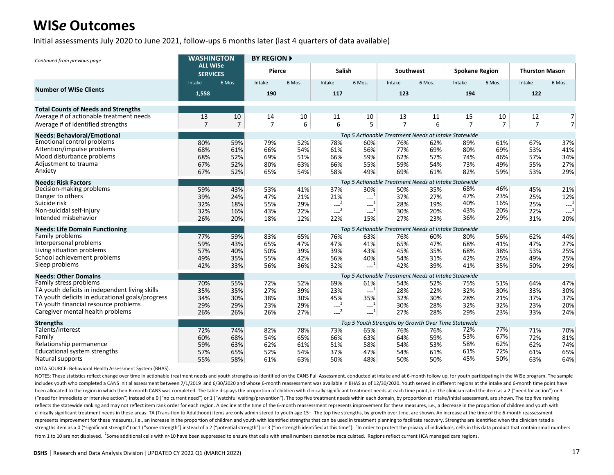Initial assessments July 2020 to June 2021, follow-ups 6 months later (last 4 quarters of data available)

| Continued from previous page                    | <b>WASHINGTON</b>                  |                                                      | <b>BY REGION ▶</b> |        |                       |                        |                  |        |                                                      |                |                       |                |  |  |
|-------------------------------------------------|------------------------------------|------------------------------------------------------|--------------------|--------|-----------------------|------------------------|------------------|--------|------------------------------------------------------|----------------|-----------------------|----------------|--|--|
|                                                 | <b>ALL WISe</b><br><b>SERVICES</b> |                                                      | <b>Pierce</b>      |        | <b>Salish</b>         |                        | <b>Southwest</b> |        | <b>Spokane Region</b>                                |                | <b>Thurston Mason</b> |                |  |  |
|                                                 | Intake                             | 6 Mos.                                               | Intake             | 6 Mos. | Intake                | 6 Mos.                 | Intake           | 6 Mos. | Intake                                               | 6 Mos.         | Intake                | 6 Mos.         |  |  |
| <b>Number of WISe Clients</b>                   | 1,558                              |                                                      | 190                |        | 117                   |                        | 123              |        | 194                                                  |                | 122                   |                |  |  |
| <b>Total Counts of Needs and Strengths</b>      |                                    |                                                      |                    |        |                       |                        |                  |        |                                                      |                |                       |                |  |  |
| Average # of actionable treatment needs         | 13                                 | 10                                                   | 14                 | 10     | 11                    | 10                     | 13               | 11     | 15                                                   | 10             | 12                    | 7              |  |  |
| Average # of identified strengths               | $\overline{7}$                     | $\overline{7}$                                       | $\overline{7}$     | 6      | 6                     | 5                      | $\overline{7}$   | 6      | $\overline{7}$                                       | $\overline{7}$ | $\overline{7}$        | $\overline{7}$ |  |  |
| <b>Needs: Behavioral/Emotional</b>              |                                    | Top 5 Actionable Treatment Needs at Intake Statewide |                    |        |                       |                        |                  |        |                                                      |                |                       |                |  |  |
| <b>Emotional control problems</b>               | 80%                                | 59%                                                  | 79%                | 52%    | 78%                   | 60%                    | 76%              | 62%    | 89%                                                  | 61%            | 67%                   | 37%            |  |  |
| Attention/impulse problems                      | 68%                                | 61%                                                  | 66%                | 54%    | 61%                   | 56%                    | 77%              | 69%    | 80%                                                  | 69%            | 53%                   | 41%            |  |  |
| Mood disturbance problems                       | 68%                                | 52%                                                  | 69%                | 51%    | 66%                   | 59%                    | 62%              | 57%    | 74%                                                  | 46%            | 57%                   | 34%            |  |  |
| Adjustment to trauma                            | 67%                                | 52%                                                  | 80%                | 63%    | 66%                   | 55%                    | 59%              | 54%    | 73%                                                  | 49%            | 55%                   | 27%            |  |  |
| Anxiety                                         | 67%                                | 52%                                                  | 65%                | 54%    | 58%                   | 49%                    | 69%              | 61%    | 82%                                                  | 59%            | 53%                   | 29%            |  |  |
| <b>Needs: Risk Factors</b>                      |                                    |                                                      |                    |        |                       |                        |                  |        | Top 5 Actionable Treatment Needs at Intake Statewide |                |                       |                |  |  |
| Decision-making problems                        | 59%                                | 43%                                                  | 53%                | 41%    | 37%                   | 30%                    | 50%              | 35%    | 68%                                                  | 46%            | 45%                   | 21%            |  |  |
| Danger to others                                | 39%                                | 24%                                                  | 47%                | 21%    | 21%                   | $-1$                   | 37%              | 27%    | 47%                                                  | 23%            | 25%                   | 12%            |  |  |
| Suicide risk                                    | 32%                                | 18%                                                  | 55%                | 29%    | $-2$                  | $\mathbf{L}^{-1}$      | 28%              | 19%    | 40%                                                  | 16%            | 25%                   | $---1$         |  |  |
| Non-suicidal self-injury                        | 32%                                | 16%                                                  | 43%                | 22%    | $---2$                | $\sim$ <sup>1</sup>    | 30%              | 20%    | 43%                                                  | 20%            | 22%                   | $-1$           |  |  |
| Intended misbehavior                            | 26%                                | 20%                                                  | 18%                | 12%    | 22%                   | 15%                    | 27%              | 23%    | 36%                                                  | 29%            | 31%                   | 20%            |  |  |
| <b>Needs: Life Domain Functioning</b>           |                                    |                                                      |                    |        |                       |                        |                  |        | Top 5 Actionable Treatment Needs at Intake Statewide |                |                       |                |  |  |
| Family problems                                 | 77%                                | 59%                                                  | 83%                | 65%    | 76%                   | 63%                    | 76%              | 60%    | 80%                                                  | 56%            | 62%                   | 44%            |  |  |
| Interpersonal problems                          | 59%                                | 43%                                                  | 65%                | 47%    | 47%                   | 41%                    | 65%              | 47%    | 68%                                                  | 41%            | 47%                   | 27%            |  |  |
| Living situation problems                       | 57%                                | 40%                                                  | 50%                | 39%    | 39%                   | 43%                    | 45%              | 35%    | 68%                                                  | 38%            | 53%                   | 25%            |  |  |
| School achievement problems                     | 49%                                | 35%                                                  | 55%                | 42%    | 56%                   | 40%                    | 54%              | 31%    | 42%                                                  | 25%            | 49%                   | 25%            |  |  |
| Sleep problems                                  | 42%                                | 33%                                                  | 56%                | 36%    | 32%                   | $-1$                   | 42%              | 39%    | 41%                                                  | 35%            | 50%                   | 29%            |  |  |
| <b>Needs: Other Domains</b>                     |                                    |                                                      |                    |        |                       |                        |                  |        | Top 5 Actionable Treatment Needs at Intake Statewide |                |                       |                |  |  |
| Family stress problems                          | 70%                                | 55%                                                  | 72%                | 52%    | 69%                   | 61%                    | 54%              | 52%    | 75%                                                  | 51%            | 64%                   | 47%            |  |  |
| TA youth deficits in independent living skills  | 35%                                | 35%                                                  | 27%                | 39%    | 23%                   | $\overline{1}$<br>---- | 28%              | 22%    | 32%                                                  | 30%            | 33%                   | 30%            |  |  |
| TA youth deficits in educational goals/progress | 34%                                | 30%                                                  | 38%                | 30%    | 45%                   | 35%                    | 32%              | 30%    | 28%                                                  | 21%            | 37%                   | 37%            |  |  |
| TA youth financial resource problems            | 29%                                | 29%                                                  | 23%                | 29%    | $\mathbb{L}^1$        | $\overline{1}$<br>---- | 30%              | 28%    | 32%                                                  | 32%            | 23%                   | 20%            |  |  |
| Caregiver mental health problems                | 26%                                | 26%                                                  | 26%                | 27%    | $\overline{2}$<br>--- | $-1$                   | 27%              | 28%    | 29%                                                  | 23%            | 33%                   | 24%            |  |  |
| <b>Strengths</b>                                |                                    |                                                      |                    |        |                       |                        |                  |        | Top 5 Youth Strengths by Growth Over Time Statewide  |                |                       |                |  |  |
| Talents/interest                                | 72%                                | 74%                                                  | 82%                | 78%    | 73%                   | 65%                    | 76%              | 76%    | 72%                                                  | 77%            | 71%                   | 70%            |  |  |
| Family                                          | 60%                                | 68%                                                  | 54%                | 65%    | 66%                   | 63%                    | 64%              | 59%    | 53%                                                  | 67%            | 72%                   | 81%            |  |  |
| Relationship permanence                         | 59%                                | 63%                                                  | 62%                | 61%    | 51%                   | 58%                    | 54%              | 53%    | 58%                                                  | 62%            | 62%                   | 74%            |  |  |
| <b>Educational system strengths</b>             | 57%                                | 65%                                                  | 52%                | 54%    | 37%                   | 47%                    | 54%              | 61%    | 61%                                                  | 72%            | 61%                   | 65%            |  |  |
| Natural supports                                | 55%                                | 58%                                                  | 61%                | 63%    | 50%                   | 48%                    | 50%              | 50%    | 45%                                                  | 50%            | 63%                   | 64%            |  |  |

DATA SOURCE: Behavioral Health Assessment System (BHAS).

NOTES: These statistics reflect change over time in actionable treatment needs and youth strengths as identified on the CANS Full Assessment, conducted at intake and at 6-month follow up, for youth participating in the WIS includes youth who completed a CANS initial assessment between 7/1/2019 and 6/30/2020 and whose 6-month reassessment was available in BHAS as of 12/30/2020. Youth served in different regions at the intake and 6-month time been allocated to the region in which their 6-month CANS was completed. The table displays the proportion of children with clinically significant treatment needs at each time point, i.e. the clinician rated the item as a 2 ("need for immediate or intensive action") instead of a 0 ("no current need") or 1 ("watchful waiting/prevention"). The top five treatment needs within each domain, by proportion at intake/initial assessment, are shown. Th reflects the statewide ranking and may not reflect item rank order for each region. A decline at the time of the 6-month reassessment represents improvement for these measures, i.e., a decrease in the proportion of childre clinically significant treatment needs in these areas. TA (Transition to Adulthood) items are only administered to youth age 15+. The top five strengths, by growth over time, are shown. An increase at the time of the 6-mon represents improvement for these measures, i.e., an increase in the proportion of children and youth with identified strengths that can be used in treatment planning to facilitate recovery. Strengths are identified when th strengths item as a 0 ("significant strength") or 1 ("some strength") instead of a 2 ("potential strength") or 3 ("no strength dentified at this time"). "In order to protect the privacy of individuals, cells in this data p from 1 to 10 are not displayed. <sup>2</sup>Some additional cells with n>10 have been suppressed to ensure that cells with small numbers cannot be recalculated. Regions reflect current HCA managed care regions.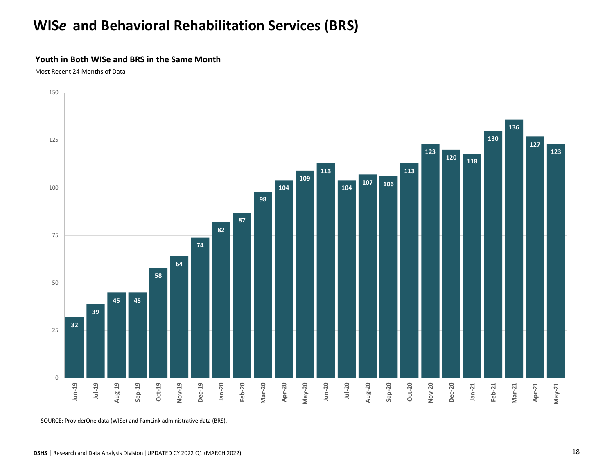# **WIS***e* **and Behavioral Rehabilitation Services (BRS)**

#### **Youth in Both WISe and BRS in the Same Month**

Most Recent 24 Months of Data



SOURCE: ProviderOne data (WISe) and FamLink administrative data (BRS).